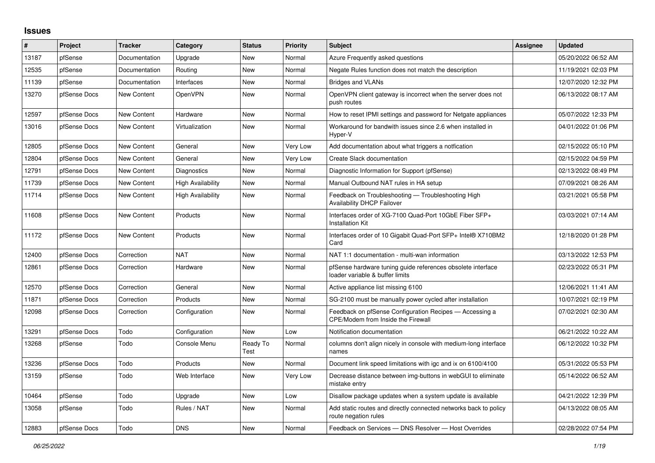## **Issues**

| #     | Project      | <b>Tracker</b>     | Category          | <b>Status</b>    | <b>Priority</b> | <b>Subject</b>                                                                                       | <b>Assignee</b> | <b>Updated</b>      |
|-------|--------------|--------------------|-------------------|------------------|-----------------|------------------------------------------------------------------------------------------------------|-----------------|---------------------|
| 13187 | pfSense      | Documentation      | Upgrade           | <b>New</b>       | Normal          | Azure Frequently asked questions                                                                     |                 | 05/20/2022 06:52 AM |
| 12535 | pfSense      | Documentation      | Routing           | <b>New</b>       | Normal          | Negate Rules function does not match the description                                                 |                 | 11/19/2021 02:03 PM |
| 11139 | pfSense      | Documentation      | Interfaces        | <b>New</b>       | Normal          | Bridges and VLANs                                                                                    |                 | 12/07/2020 12:32 PM |
| 13270 | pfSense Docs | <b>New Content</b> | <b>OpenVPN</b>    | New              | Normal          | OpenVPN client gateway is incorrect when the server does not<br>push routes                          |                 | 06/13/2022 08:17 AM |
| 12597 | pfSense Docs | New Content        | Hardware          | <b>New</b>       | Normal          | How to reset IPMI settings and password for Netgate appliances                                       |                 | 05/07/2022 12:33 PM |
| 13016 | pfSense Docs | New Content        | Virtualization    | New              | Normal          | Workaround for bandwith issues since 2.6 when installed in<br>Hyper-V                                |                 | 04/01/2022 01:06 PM |
| 12805 | pfSense Docs | New Content        | General           | New              | Very Low        | Add documentation about what triggers a notfication                                                  |                 | 02/15/2022 05:10 PM |
| 12804 | pfSense Docs | New Content        | General           | New              | Very Low        | Create Slack documentation                                                                           |                 | 02/15/2022 04:59 PM |
| 12791 | pfSense Docs | New Content        | Diagnostics       | New              | Normal          | Diagnostic Information for Support (pfSense)                                                         |                 | 02/13/2022 08:49 PM |
| 11739 | pfSense Docs | New Content        | High Availability | New              | Normal          | Manual Outbound NAT rules in HA setup                                                                |                 | 07/09/2021 08:26 AM |
| 11714 | pfSense Docs | New Content        | High Availability | <b>New</b>       | Normal          | Feedback on Troubleshooting - Troubleshooting High<br><b>Availability DHCP Failover</b>              |                 | 03/21/2021 05:58 PM |
| 11608 | pfSense Docs | New Content        | Products          | <b>New</b>       | Normal          | Interfaces order of XG-7100 Quad-Port 10GbE Fiber SFP+<br>Installation Kit                           |                 | 03/03/2021 07:14 AM |
| 11172 | pfSense Docs | New Content        | Products          | New              | Normal          | Interfaces order of 10 Gigabit Quad-Port SFP+ Intel® X710BM2<br>Card                                 |                 | 12/18/2020 01:28 PM |
| 12400 | pfSense Docs | Correction         | <b>NAT</b>        | <b>New</b>       | Normal          | NAT 1:1 documentation - multi-wan information                                                        |                 | 03/13/2022 12:53 PM |
| 12861 | pfSense Docs | Correction         | Hardware          | New              | Normal          | pfSense hardware tuning guide references obsolete interface<br>loader variable & buffer limits       |                 | 02/23/2022 05:31 PM |
| 12570 | pfSense Docs | Correction         | General           | <b>New</b>       | Normal          | Active appliance list missing 6100                                                                   |                 | 12/06/2021 11:41 AM |
| 11871 | pfSense Docs | Correction         | Products          | New              | Normal          | SG-2100 must be manually power cycled after installation                                             |                 | 10/07/2021 02:19 PM |
| 12098 | pfSense Docs | Correction         | Configuration     | New              | Normal          | Feedback on pfSense Configuration Recipes - Accessing a<br><b>CPE/Modem from Inside the Firewall</b> |                 | 07/02/2021 02:30 AM |
| 13291 | pfSense Docs | Todo               | Configuration     | <b>New</b>       | Low             | Notification documentation                                                                           |                 | 06/21/2022 10:22 AM |
| 13268 | pfSense      | Todo               | Console Menu      | Ready To<br>Test | Normal          | columns don't align nicely in console with medium-long interface<br>names                            |                 | 06/12/2022 10:32 PM |
| 13236 | pfSense Docs | Todo               | Products          | <b>New</b>       | Normal          | Document link speed limitations with igc and ix on 6100/4100                                         |                 | 05/31/2022 05:53 PM |
| 13159 | pfSense      | Todo               | Web Interface     | <b>New</b>       | Very Low        | Decrease distance between img-buttons in webGUI to eliminate<br>mistake entry                        |                 | 05/14/2022 06:52 AM |
| 10464 | pfSense      | Todo               | Upgrade           | <b>New</b>       | Low             | Disallow package updates when a system update is available                                           |                 | 04/21/2022 12:39 PM |
| 13058 | pfSense      | Todo               | Rules / NAT       | <b>New</b>       | Normal          | Add static routes and directly connected networks back to policy<br>route negation rules             |                 | 04/13/2022 08:05 AM |
| 12883 | pfSense Docs | Todo               | <b>DNS</b>        | New              | Normal          | Feedback on Services - DNS Resolver - Host Overrides                                                 |                 | 02/28/2022 07:54 PM |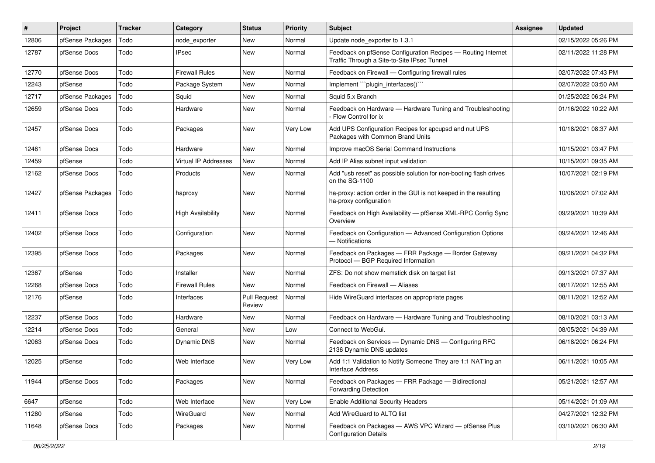| #     | Project          | <b>Tracker</b> | Category                 | <b>Status</b>                 | <b>Priority</b> | <b>Subject</b>                                                                                              | <b>Assignee</b> | <b>Updated</b>      |
|-------|------------------|----------------|--------------------------|-------------------------------|-----------------|-------------------------------------------------------------------------------------------------------------|-----------------|---------------------|
| 12806 | pfSense Packages | Todo           | node exporter            | New                           | Normal          | Update node exporter to 1.3.1                                                                               |                 | 02/15/2022 05:26 PM |
| 12787 | pfSense Docs     | Todo           | <b>IPsec</b>             | New                           | Normal          | Feedback on pfSense Configuration Recipes - Routing Internet<br>Traffic Through a Site-to-Site IPsec Tunnel |                 | 02/11/2022 11:28 PM |
| 12770 | pfSense Docs     | Todo           | <b>Firewall Rules</b>    | New                           | Normal          | Feedback on Firewall — Configuring firewall rules                                                           |                 | 02/07/2022 07:43 PM |
| 12243 | pfSense          | Todo           | Package System           | New                           | Normal          | Implement "``plugin_interfaces()`"                                                                          |                 | 02/07/2022 03:50 AM |
| 12717 | pfSense Packages | Todo           | Squid                    | New                           | Normal          | Squid 5.x Branch                                                                                            |                 | 01/25/2022 06:24 PM |
| 12659 | pfSense Docs     | Todo           | Hardware                 | New                           | Normal          | Feedback on Hardware - Hardware Tuning and Troubleshooting<br>- Flow Control for ix                         |                 | 01/16/2022 10:22 AM |
| 12457 | pfSense Docs     | Todo           | Packages                 | New                           | Very Low        | Add UPS Configuration Recipes for apcupsd and nut UPS<br>Packages with Common Brand Units                   |                 | 10/18/2021 08:37 AM |
| 12461 | pfSense Docs     | Todo           | Hardware                 | <b>New</b>                    | Normal          | Improve macOS Serial Command Instructions                                                                   |                 | 10/15/2021 03:47 PM |
| 12459 | pfSense          | Todo           | Virtual IP Addresses     | New                           | Normal          | Add IP Alias subnet input validation                                                                        |                 | 10/15/2021 09:35 AM |
| 12162 | pfSense Docs     | Todo           | Products                 | New                           | Normal          | Add "usb reset" as possible solution for non-booting flash drives<br>on the SG-1100                         |                 | 10/07/2021 02:19 PM |
| 12427 | pfSense Packages | Todo           | haproxy                  | New                           | Normal          | ha-proxy: action order in the GUI is not keeped in the resulting<br>ha-proxy configuration                  |                 | 10/06/2021 07:02 AM |
| 12411 | pfSense Docs     | Todo           | <b>High Availability</b> | New                           | Normal          | Feedback on High Availability - pfSense XML-RPC Config Sync<br>Overview                                     |                 | 09/29/2021 10:39 AM |
| 12402 | pfSense Docs     | Todo           | Configuration            | New                           | Normal          | Feedback on Configuration - Advanced Configuration Options<br>- Notifications                               |                 | 09/24/2021 12:46 AM |
| 12395 | pfSense Docs     | Todo           | Packages                 | New                           | Normal          | Feedback on Packages - FRR Package - Border Gateway<br>Protocol - BGP Required Information                  |                 | 09/21/2021 04:32 PM |
| 12367 | pfSense          | Todo           | Installer                | New                           | Normal          | ZFS: Do not show memstick disk on target list                                                               |                 | 09/13/2021 07:37 AM |
| 12268 | pfSense Docs     | Todo           | <b>Firewall Rules</b>    | <b>New</b>                    | Normal          | Feedback on Firewall - Aliases                                                                              |                 | 08/17/2021 12:55 AM |
| 12176 | pfSense          | Todo           | Interfaces               | <b>Pull Request</b><br>Review | Normal          | Hide WireGuard interfaces on appropriate pages                                                              |                 | 08/11/2021 12:52 AM |
| 12237 | pfSense Docs     | Todo           | Hardware                 | New                           | Normal          | Feedback on Hardware - Hardware Tuning and Troubleshooting                                                  |                 | 08/10/2021 03:13 AM |
| 12214 | pfSense Docs     | Todo           | General                  | New                           | Low             | Connect to WebGui.                                                                                          |                 | 08/05/2021 04:39 AM |
| 12063 | pfSense Docs     | Todo           | <b>Dynamic DNS</b>       | New                           | Normal          | Feedback on Services - Dynamic DNS - Configuring RFC<br>2136 Dynamic DNS updates                            |                 | 06/18/2021 06:24 PM |
| 12025 | pfSense          | Todo           | Web Interface            | New                           | Very Low        | Add 1:1 Validation to Notify Someone They are 1:1 NAT'ing an<br>Interface Address                           |                 | 06/11/2021 10:05 AM |
| 11944 | pfSense Docs     | Todo           | Packages                 | New                           | Normal          | Feedback on Packages - FRR Package - Bidirectional<br><b>Forwarding Detection</b>                           |                 | 05/21/2021 12:57 AM |
| 6647  | pfSense          | Todo           | Web Interface            | New                           | Very Low        | <b>Enable Additional Security Headers</b>                                                                   |                 | 05/14/2021 01:09 AM |
| 11280 | pfSense          | Todo           | WireGuard                | New                           | Normal          | Add WireGuard to ALTQ list                                                                                  |                 | 04/27/2021 12:32 PM |
| 11648 | pfSense Docs     | Todo           | Packages                 | New                           | Normal          | Feedback on Packages - AWS VPC Wizard - pfSense Plus<br><b>Configuration Details</b>                        |                 | 03/10/2021 06:30 AM |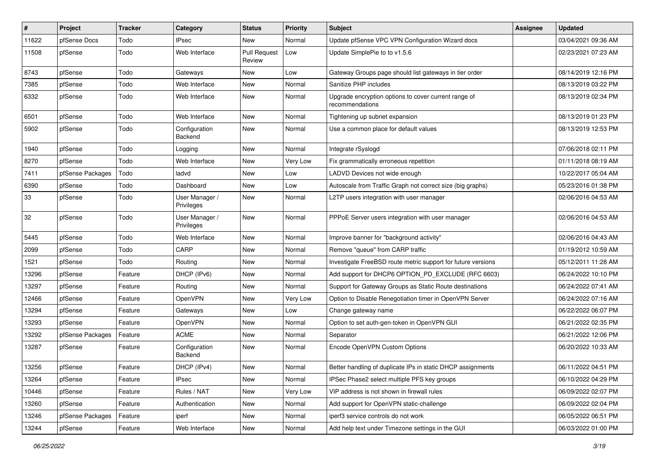| #     | Project          | <b>Tracker</b> | Category                     | <b>Status</b>                 | <b>Priority</b> | Subject                                                                 | <b>Assignee</b> | <b>Updated</b>      |
|-------|------------------|----------------|------------------------------|-------------------------------|-----------------|-------------------------------------------------------------------------|-----------------|---------------------|
| 11622 | pfSense Docs     | Todo           | <b>IPsec</b>                 | New                           | Normal          | Update pfSense VPC VPN Configuration Wizard docs                        |                 | 03/04/2021 09:36 AM |
| 11508 | pfSense          | Todo           | Web Interface                | <b>Pull Request</b><br>Review | Low             | Update SimplePie to to v1.5.6                                           |                 | 02/23/2021 07:23 AM |
| 8743  | pfSense          | Todo           | Gateways                     | New                           | Low             | Gateway Groups page should list gateways in tier order                  |                 | 08/14/2019 12:16 PM |
| 7385  | pfSense          | Todo           | Web Interface                | New                           | Normal          | Sanitize PHP includes                                                   |                 | 08/13/2019 03:22 PM |
| 6332  | pfSense          | Todo           | Web Interface                | New                           | Normal          | Upgrade encryption options to cover current range of<br>recommendations |                 | 08/13/2019 02:34 PM |
| 6501  | pfSense          | Todo           | Web Interface                | New                           | Normal          | Tightening up subnet expansion                                          |                 | 08/13/2019 01:23 PM |
| 5902  | pfSense          | Todo           | Configuration<br>Backend     | New                           | Normal          | Use a common place for default values                                   |                 | 08/13/2019 12:53 PM |
| 1940  | pfSense          | Todo           | Logging                      | New                           | Normal          | Integrate rSyslogd                                                      |                 | 07/06/2018 02:11 PM |
| 8270  | pfSense          | Todo           | Web Interface                | New                           | Very Low        | Fix grammatically erroneous repetition                                  |                 | 01/11/2018 08:19 AM |
| 7411  | pfSense Packages | Todo           | ladvd                        | New                           | Low             | LADVD Devices not wide enough                                           |                 | 10/22/2017 05:04 AM |
| 6390  | pfSense          | Todo           | Dashboard                    | New                           | Low             | Autoscale from Traffic Graph not correct size (big graphs)              |                 | 05/23/2016 01:38 PM |
| 33    | pfSense          | Todo           | User Manager /<br>Privileges | New                           | Normal          | L2TP users integration with user manager                                |                 | 02/06/2016 04:53 AM |
| 32    | pfSense          | Todo           | User Manager /<br>Privileges | New                           | Normal          | PPPoE Server users integration with user manager                        |                 | 02/06/2016 04:53 AM |
| 5445  | pfSense          | Todo           | Web Interface                | New                           | Normal          | Improve banner for "background activity"                                |                 | 02/06/2016 04:43 AM |
| 2099  | pfSense          | Todo           | CARP                         | New                           | Normal          | Remove "queue" from CARP traffic                                        |                 | 01/19/2012 10:59 AM |
| 1521  | pfSense          | Todo           | Routing                      | <b>New</b>                    | Normal          | Investigate FreeBSD route metric support for future versions            |                 | 05/12/2011 11:28 AM |
| 13296 | pfSense          | Feature        | DHCP (IPv6)                  | New                           | Normal          | Add support for DHCP6 OPTION_PD_EXCLUDE (RFC 6603)                      |                 | 06/24/2022 10:10 PM |
| 13297 | pfSense          | Feature        | Routing                      | New                           | Normal          | Support for Gateway Groups as Static Route destinations                 |                 | 06/24/2022 07:41 AM |
| 12466 | pfSense          | Feature        | OpenVPN                      | New                           | Very Low        | Option to Disable Renegotiation timer in OpenVPN Server                 |                 | 06/24/2022 07:16 AM |
| 13294 | pfSense          | Feature        | Gateways                     | New                           | Low             | Change gateway name                                                     |                 | 06/22/2022 06:07 PM |
| 13293 | pfSense          | Feature        | <b>OpenVPN</b>               | New                           | Normal          | Option to set auth-gen-token in OpenVPN GUI                             |                 | 06/21/2022 02:35 PM |
| 13292 | pfSense Packages | Feature        | ACME                         | New                           | Normal          | Separator                                                               |                 | 06/21/2022 12:06 PM |
| 13287 | pfSense          | Feature        | Configuration<br>Backend     | New                           | Normal          | Encode OpenVPN Custom Options                                           |                 | 06/20/2022 10:33 AM |
| 13256 | pfSense          | Feature        | DHCP (IPv4)                  | New                           | Normal          | Better handling of duplicate IPs in static DHCP assignments             |                 | 06/11/2022 04:51 PM |
| 13264 | pfSense          | Feature        | <b>IPsec</b>                 | New                           | Normal          | IPSec Phase2 select multiple PFS key groups                             |                 | 06/10/2022 04:29 PM |
| 10446 | pfSense          | Feature        | Rules / NAT                  | New                           | Very Low        | VIP address is not shown in firewall rules                              |                 | 06/09/2022 02:07 PM |
| 13260 | pfSense          | Feature        | Authentication               | New                           | Normal          | Add support for OpenVPN static-challenge                                |                 | 06/09/2022 02:04 PM |
| 13246 | pfSense Packages | Feature        | iperf                        | New                           | Normal          | iperf3 service controls do not work                                     |                 | 06/05/2022 06:51 PM |
| 13244 | pfSense          | Feature        | Web Interface                | New                           | Normal          | Add help text under Timezone settings in the GUI                        |                 | 06/03/2022 01:00 PM |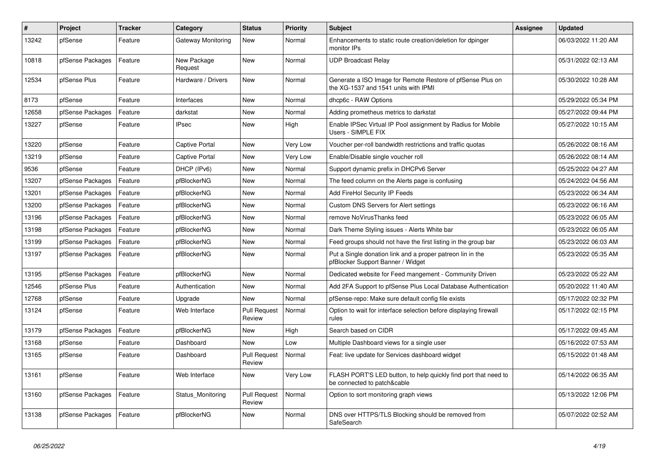| $\vert$ # | Project          | <b>Tracker</b> | Category               | <b>Status</b>                 | Priority | <b>Subject</b>                                                                                     | <b>Assignee</b> | <b>Updated</b>      |
|-----------|------------------|----------------|------------------------|-------------------------------|----------|----------------------------------------------------------------------------------------------------|-----------------|---------------------|
| 13242     | pfSense          | Feature        | Gateway Monitoring     | New                           | Normal   | Enhancements to static route creation/deletion for dpinger<br>monitor IPs                          |                 | 06/03/2022 11:20 AM |
| 10818     | pfSense Packages | Feature        | New Package<br>Request | <b>New</b>                    | Normal   | <b>UDP Broadcast Relay</b>                                                                         |                 | 05/31/2022 02:13 AM |
| 12534     | pfSense Plus     | Feature        | Hardware / Drivers     | <b>New</b>                    | Normal   | Generate a ISO Image for Remote Restore of pfSense Plus on<br>the XG-1537 and 1541 units with IPMI |                 | 05/30/2022 10:28 AM |
| 8173      | pfSense          | Feature        | Interfaces             | New                           | Normal   | dhcp6c - RAW Options                                                                               |                 | 05/29/2022 05:34 PM |
| 12658     | pfSense Packages | Feature        | darkstat               | New                           | Normal   | Adding prometheus metrics to darkstat                                                              |                 | 05/27/2022 09:44 PM |
| 13227     | pfSense          | Feature        | <b>IPsec</b>           | New                           | High     | Enable IPSec Virtual IP Pool assignment by Radius for Mobile<br>Users - SIMPLE FIX                 |                 | 05/27/2022 10:15 AM |
| 13220     | pfSense          | Feature        | Captive Portal         | New                           | Very Low | Voucher per-roll bandwidth restrictions and traffic quotas                                         |                 | 05/26/2022 08:16 AM |
| 13219     | pfSense          | Feature        | Captive Portal         | New                           | Very Low | Enable/Disable single voucher roll                                                                 |                 | 05/26/2022 08:14 AM |
| 9536      | pfSense          | Feature        | DHCP (IPv6)            | <b>New</b>                    | Normal   | Support dynamic prefix in DHCPv6 Server                                                            |                 | 05/25/2022 04:27 AM |
| 13207     | pfSense Packages | Feature        | pfBlockerNG            | New                           | Normal   | The feed column on the Alerts page is confusing                                                    |                 | 05/24/2022 04:56 AM |
| 13201     | pfSense Packages | Feature        | pfBlockerNG            | <b>New</b>                    | Normal   | Add FireHol Security IP Feeds                                                                      |                 | 05/23/2022 06:34 AM |
| 13200     | pfSense Packages | Feature        | pfBlockerNG            | <b>New</b>                    | Normal   | Custom DNS Servers for Alert settings                                                              |                 | 05/23/2022 06:16 AM |
| 13196     | pfSense Packages | Feature        | pfBlockerNG            | New                           | Normal   | remove NoVirusThanks feed                                                                          |                 | 05/23/2022 06:05 AM |
| 13198     | pfSense Packages | Feature        | pfBlockerNG            | <b>New</b>                    | Normal   | Dark Theme Styling issues - Alerts White bar                                                       |                 | 05/23/2022 06:05 AM |
| 13199     | pfSense Packages | Feature        | pfBlockerNG            | <b>New</b>                    | Normal   | Feed groups should not have the first listing in the group bar                                     |                 | 05/23/2022 06:03 AM |
| 13197     | pfSense Packages | Feature        | pfBlockerNG            | New                           | Normal   | Put a Single donation link and a proper patreon lin in the<br>pfBlocker Support Banner / Widget    |                 | 05/23/2022 05:35 AM |
| 13195     | pfSense Packages | Feature        | pfBlockerNG            | <b>New</b>                    | Normal   | Dedicated website for Feed mangement - Community Driven                                            |                 | 05/23/2022 05:22 AM |
| 12546     | pfSense Plus     | Feature        | Authentication         | <b>New</b>                    | Normal   | Add 2FA Support to pfSense Plus Local Database Authentication                                      |                 | 05/20/2022 11:40 AM |
| 12768     | pfSense          | Feature        | Upgrade                | <b>New</b>                    | Normal   | pfSense-repo: Make sure default config file exists                                                 |                 | 05/17/2022 02:32 PM |
| 13124     | pfSense          | Feature        | Web Interface          | <b>Pull Request</b><br>Review | Normal   | Option to wait for interface selection before displaying firewall<br>rules                         |                 | 05/17/2022 02:15 PM |
| 13179     | pfSense Packages | Feature        | pfBlockerNG            | <b>New</b>                    | High     | Search based on CIDR                                                                               |                 | 05/17/2022 09:45 AM |
| 13168     | pfSense          | Feature        | Dashboard              | <b>New</b>                    | Low      | Multiple Dashboard views for a single user                                                         |                 | 05/16/2022 07:53 AM |
| 13165     | pfSense          | Feature        | Dashboard              | <b>Pull Request</b><br>Review | Normal   | Feat: live update for Services dashboard widget                                                    |                 | 05/15/2022 01:48 AM |
| 13161     | pfSense          | Feature        | Web Interface          | New                           | Very Low | FLASH PORT'S LED button, to help quickly find port that need to<br>be connected to patch&cable     |                 | 05/14/2022 06:35 AM |
| 13160     | pfSense Packages | Feature        | Status Monitoring      | <b>Pull Request</b><br>Review | Normal   | Option to sort monitoring graph views                                                              |                 | 05/13/2022 12:06 PM |
| 13138     | pfSense Packages | Feature        | pfBlockerNG            | <b>New</b>                    | Normal   | DNS over HTTPS/TLS Blocking should be removed from<br>SafeSearch                                   |                 | 05/07/2022 02:52 AM |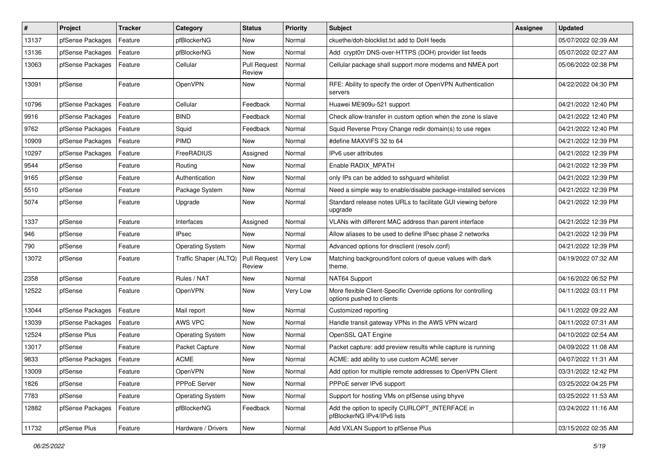| $\vert$ # | Project          | <b>Tracker</b> | Category                | <b>Status</b>                 | <b>Priority</b> | Subject                                                                                     | <b>Assignee</b> | <b>Updated</b>      |
|-----------|------------------|----------------|-------------------------|-------------------------------|-----------------|---------------------------------------------------------------------------------------------|-----------------|---------------------|
| 13137     | pfSense Packages | Feature        | pfBlockerNG             | New                           | Normal          | ckuethe/doh-blocklist.txt add to DoH feeds                                                  |                 | 05/07/2022 02:39 AM |
| 13136     | pfSense Packages | Feature        | pfBlockerNG             | New                           | Normal          | Add crypt0rr DNS-over-HTTPS (DOH) provider list feeds                                       |                 | 05/07/2022 02:27 AM |
| 13063     | pfSense Packages | Feature        | Cellular                | <b>Pull Request</b><br>Review | Normal          | Cellular package shall support more modems and NMEA port                                    |                 | 05/06/2022 02:38 PM |
| 13091     | pfSense          | Feature        | <b>OpenVPN</b>          | New                           | Normal          | RFE: Ability to specify the order of OpenVPN Authentication<br>servers                      |                 | 04/22/2022 04:30 PM |
| 10796     | pfSense Packages | Feature        | Cellular                | Feedback                      | Normal          | Huawei ME909u-521 support                                                                   |                 | 04/21/2022 12:40 PM |
| 9916      | pfSense Packages | Feature        | <b>BIND</b>             | Feedback                      | Normal          | Check allow-transfer in custom option when the zone is slave                                |                 | 04/21/2022 12:40 PM |
| 9762      | pfSense Packages | Feature        | Squid                   | Feedback                      | Normal          | Squid Reverse Proxy Change redir domain(s) to use regex                                     |                 | 04/21/2022 12:40 PM |
| 10909     | pfSense Packages | Feature        | <b>PIMD</b>             | New                           | Normal          | #define MAXVIFS 32 to 64                                                                    |                 | 04/21/2022 12:39 PM |
| 10297     | pfSense Packages | Feature        | FreeRADIUS              | Assigned                      | Normal          | IPv6 user attributes                                                                        |                 | 04/21/2022 12:39 PM |
| 9544      | pfSense          | Feature        | Routing                 | New                           | Normal          | Enable RADIX MPATH                                                                          |                 | 04/21/2022 12:39 PM |
| 9165      | pfSense          | Feature        | Authentication          | New                           | Normal          | only IPs can be added to sshguard whitelist                                                 |                 | 04/21/2022 12:39 PM |
| 5510      | pfSense          | Feature        | Package System          | New                           | Normal          | Need a simple way to enable/disable package-installed services                              |                 | 04/21/2022 12:39 PM |
| 5074      | pfSense          | Feature        | Upgrade                 | New                           | Normal          | Standard release notes URLs to facilitate GUI viewing before<br>upgrade                     |                 | 04/21/2022 12:39 PM |
| 1337      | pfSense          | Feature        | Interfaces              | Assigned                      | Normal          | VLANs with different MAC address than parent interface                                      |                 | 04/21/2022 12:39 PM |
| 946       | pfSense          | Feature        | <b>IPsec</b>            | <b>New</b>                    | Normal          | Allow aliases to be used to define IPsec phase 2 networks                                   |                 | 04/21/2022 12:39 PM |
| 790       | pfSense          | Feature        | <b>Operating System</b> | New                           | Normal          | Advanced options for dnsclient (resolv.conf)                                                |                 | 04/21/2022 12:39 PM |
| 13072     | pfSense          | Feature        | Traffic Shaper (ALTQ)   | <b>Pull Request</b><br>Review | Very Low        | Matching background/font colors of queue values with dark<br>theme.                         |                 | 04/19/2022 07:32 AM |
| 2358      | pfSense          | Feature        | Rules / NAT             | New                           | Normal          | NAT64 Support                                                                               |                 | 04/16/2022 06:52 PM |
| 12522     | pfSense          | Feature        | OpenVPN                 | New                           | Very Low        | More flexible Client-Specific Override options for controlling<br>options pushed to clients |                 | 04/11/2022 03:11 PM |
| 13044     | pfSense Packages | Feature        | Mail report             | New                           | Normal          | Customized reporting                                                                        |                 | 04/11/2022 09:22 AM |
| 13039     | pfSense Packages | Feature        | AWS VPC                 | New                           | Normal          | Handle transit gateway VPNs in the AWS VPN wizard                                           |                 | 04/11/2022 07:31 AM |
| 12524     | pfSense Plus     | Feature        | <b>Operating System</b> | New                           | Normal          | OpenSSL QAT Engine                                                                          |                 | 04/10/2022 02:54 AM |
| 13017     | pfSense          | Feature        | Packet Capture          | New                           | Normal          | Packet capture: add preview results while capture is running                                |                 | 04/09/2022 11:08 AM |
| 9833      | pfSense Packages | Feature        | <b>ACME</b>             | New                           | Normal          | ACME: add ability to use custom ACME server                                                 |                 | 04/07/2022 11:31 AM |
| 13009     | pfSense          | Feature        | OpenVPN                 | New                           | Normal          | Add option for multiple remote addresses to OpenVPN Client                                  |                 | 03/31/2022 12:42 PM |
| 1826      | pfSense          | Feature        | PPPoE Server            | New                           | Normal          | PPPoE server IPv6 support                                                                   |                 | 03/25/2022 04:25 PM |
| 7783      | pfSense          | Feature        | <b>Operating System</b> | New                           | Normal          | Support for hosting VMs on pfSense using bhyve                                              |                 | 03/25/2022 11:53 AM |
| 12882     | pfSense Packages | Feature        | pfBlockerNG             | Feedback                      | Normal          | Add the option to specify CURLOPT_INTERFACE in<br>pfBlockerNG IPv4/IPv6 lists               |                 | 03/24/2022 11:16 AM |
| 11732     | pfSense Plus     | Feature        | Hardware / Drivers      | New                           | Normal          | Add VXLAN Support to pfSense Plus                                                           |                 | 03/15/2022 02:35 AM |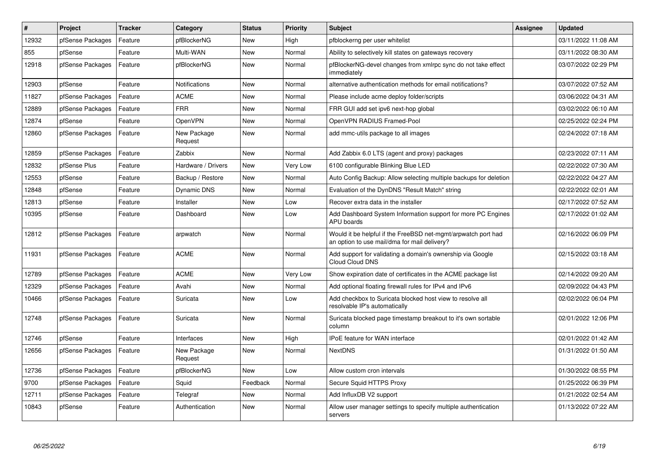| $\sharp$ | <b>Project</b>   | <b>Tracker</b> | Category               | <b>Status</b> | <b>Priority</b> | <b>Subject</b>                                                                                                | Assignee | <b>Updated</b>      |
|----------|------------------|----------------|------------------------|---------------|-----------------|---------------------------------------------------------------------------------------------------------------|----------|---------------------|
| 12932    | pfSense Packages | Feature        | pfBlockerNG            | New           | High            | pfblockerng per user whitelist                                                                                |          | 03/11/2022 11:08 AM |
| 855      | pfSense          | Feature        | Multi-WAN              | <b>New</b>    | Normal          | Ability to selectively kill states on gateways recovery                                                       |          | 03/11/2022 08:30 AM |
| 12918    | pfSense Packages | Feature        | pfBlockerNG            | New           | Normal          | pfBlockerNG-devel changes from xmlrpc sync do not take effect<br>immediately                                  |          | 03/07/2022 02:29 PM |
| 12903    | pfSense          | Feature        | Notifications          | New           | Normal          | alternative authentication methods for email notifications?                                                   |          | 03/07/2022 07:52 AM |
| 11827    | pfSense Packages | Feature        | <b>ACME</b>            | New           | Normal          | Please include acme deploy folder/scripts                                                                     |          | 03/06/2022 04:31 AM |
| 12889    | pfSense Packages | Feature        | <b>FRR</b>             | New           | Normal          | FRR GUI add set ipv6 next-hop global                                                                          |          | 03/02/2022 06:10 AM |
| 12874    | pfSense          | Feature        | OpenVPN                | <b>New</b>    | Normal          | OpenVPN RADIUS Framed-Pool                                                                                    |          | 02/25/2022 02:24 PM |
| 12860    | pfSense Packages | Feature        | New Package<br>Request | <b>New</b>    | Normal          | add mmc-utils package to all images                                                                           |          | 02/24/2022 07:18 AM |
| 12859    | pfSense Packages | Feature        | Zabbix                 | <b>New</b>    | Normal          | Add Zabbix 6.0 LTS (agent and proxy) packages                                                                 |          | 02/23/2022 07:11 AM |
| 12832    | pfSense Plus     | Feature        | Hardware / Drivers     | <b>New</b>    | Very Low        | 6100 configurable Blinking Blue LED                                                                           |          | 02/22/2022 07:30 AM |
| 12553    | pfSense          | Feature        | Backup / Restore       | <b>New</b>    | Normal          | Auto Config Backup: Allow selecting multiple backups for deletion                                             |          | 02/22/2022 04:27 AM |
| 12848    | pfSense          | Feature        | Dynamic DNS            | New           | Normal          | Evaluation of the DynDNS "Result Match" string                                                                |          | 02/22/2022 02:01 AM |
| 12813    | pfSense          | Feature        | Installer              | <b>New</b>    | Low             | Recover extra data in the installer                                                                           |          | 02/17/2022 07:52 AM |
| 10395    | pfSense          | Feature        | Dashboard              | New           | Low             | Add Dashboard System Information support for more PC Engines<br><b>APU</b> boards                             |          | 02/17/2022 01:02 AM |
| 12812    | pfSense Packages | Feature        | arpwatch               | <b>New</b>    | Normal          | Would it be helpful if the FreeBSD net-mgmt/arpwatch port had<br>an option to use mail/dma for mail delivery? |          | 02/16/2022 06:09 PM |
| 11931    | pfSense Packages | Feature        | <b>ACME</b>            | New           | Normal          | Add support for validating a domain's ownership via Google<br><b>Cloud Cloud DNS</b>                          |          | 02/15/2022 03:18 AM |
| 12789    | pfSense Packages | Feature        | <b>ACME</b>            | <b>New</b>    | Very Low        | Show expiration date of certificates in the ACME package list                                                 |          | 02/14/2022 09:20 AM |
| 12329    | pfSense Packages | Feature        | Avahi                  | New           | Normal          | Add optional floating firewall rules for IPv4 and IPv6                                                        |          | 02/09/2022 04:43 PM |
| 10466    | pfSense Packages | Feature        | Suricata               | New           | Low             | Add checkbox to Suricata blocked host view to resolve all<br>resolvable IP's automatically                    |          | 02/02/2022 06:04 PM |
| 12748    | pfSense Packages | Feature        | Suricata               | New           | Normal          | Suricata blocked page timestamp breakout to it's own sortable<br>column                                       |          | 02/01/2022 12:06 PM |
| 12746    | pfSense          | Feature        | Interfaces             | New           | High            | <b>IPoE</b> feature for WAN interface                                                                         |          | 02/01/2022 01:42 AM |
| 12656    | pfSense Packages | Feature        | New Package<br>Request | New           | Normal          | <b>NextDNS</b>                                                                                                |          | 01/31/2022 01:50 AM |
| 12736    | pfSense Packages | Feature        | pfBlockerNG            | New           | Low             | Allow custom cron intervals                                                                                   |          | 01/30/2022 08:55 PM |
| 9700     | pfSense Packages | Feature        | Squid                  | Feedback      | Normal          | Secure Squid HTTPS Proxy                                                                                      |          | 01/25/2022 06:39 PM |
| 12711    | pfSense Packages | Feature        | Telegraf               | <b>New</b>    | Normal          | Add InfluxDB V2 support                                                                                       |          | 01/21/2022 02:54 AM |
| 10843    | pfSense          | Feature        | Authentication         | <b>New</b>    | Normal          | Allow user manager settings to specify multiple authentication<br>servers                                     |          | 01/13/2022 07:22 AM |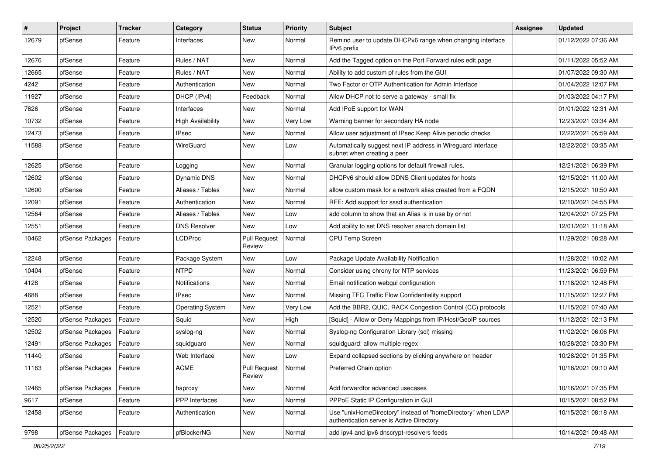| $\vert$ # | Project          | <b>Tracker</b> | Category                 | <b>Status</b>                 | <b>Priority</b> | Subject                                                                                                   | <b>Assignee</b> | <b>Updated</b>      |
|-----------|------------------|----------------|--------------------------|-------------------------------|-----------------|-----------------------------------------------------------------------------------------------------------|-----------------|---------------------|
| 12679     | pfSense          | Feature        | Interfaces               | New                           | Normal          | Remind user to update DHCPv6 range when changing interface<br>IPv6 prefix                                 |                 | 01/12/2022 07:36 AM |
| 12676     | pfSense          | Feature        | Rules / NAT              | New                           | Normal          | Add the Tagged option on the Port Forward rules edit page                                                 |                 | 01/11/2022 05:52 AM |
| 12665     | pfSense          | Feature        | Rules / NAT              | New                           | Normal          | Ability to add custom pf rules from the GUI                                                               |                 | 01/07/2022 09:30 AM |
| 4242      | pfSense          | Feature        | Authentication           | New                           | Normal          | Two Factor or OTP Authentication for Admin Interface                                                      |                 | 01/04/2022 12:07 PM |
| 11927     | pfSense          | Feature        | DHCP (IPv4)              | Feedback                      | Normal          | Allow DHCP not to serve a gateway - small fix                                                             |                 | 01/03/2022 04:17 PM |
| 7626      | pfSense          | Feature        | Interfaces               | New                           | Normal          | Add IPoE support for WAN                                                                                  |                 | 01/01/2022 12:31 AM |
| 10732     | pfSense          | Feature        | <b>High Availability</b> | New                           | Very Low        | Warning banner for secondary HA node                                                                      |                 | 12/23/2021 03:34 AM |
| 12473     | pfSense          | Feature        | <b>IPsec</b>             | New                           | Normal          | Allow user adjustment of IPsec Keep Alive periodic checks                                                 |                 | 12/22/2021 05:59 AM |
| 11588     | pfSense          | Feature        | WireGuard                | New                           | Low             | Automatically suggest next IP address in Wireguard interface<br>subnet when creating a peer               |                 | 12/22/2021 03:35 AM |
| 12625     | pfSense          | Feature        | Logging                  | New                           | Normal          | Granular logging options for default firewall rules.                                                      |                 | 12/21/2021 06:39 PM |
| 12602     | pfSense          | Feature        | <b>Dynamic DNS</b>       | New                           | Normal          | DHCPv6 should allow DDNS Client updates for hosts                                                         |                 | 12/15/2021 11:00 AM |
| 12600     | pfSense          | Feature        | Aliases / Tables         | New                           | Normal          | allow custom mask for a network alias created from a FQDN                                                 |                 | 12/15/2021 10:50 AM |
| 12091     | pfSense          | Feature        | Authentication           | New                           | Normal          | RFE: Add support for sssd authentication                                                                  |                 | 12/10/2021 04:55 PM |
| 12564     | pfSense          | Feature        | Aliases / Tables         | New                           | Low             | add column to show that an Alias is in use by or not                                                      |                 | 12/04/2021 07:25 PM |
| 12551     | pfSense          | Feature        | <b>DNS Resolver</b>      | New                           | Low             | Add ability to set DNS resolver search domain list                                                        |                 | 12/01/2021 11:18 AM |
| 10462     | pfSense Packages | Feature        | <b>LCDProc</b>           | <b>Pull Request</b><br>Review | Normal          | CPU Temp Screen                                                                                           |                 | 11/29/2021 08:28 AM |
| 12248     | pfSense          | Feature        | Package System           | New                           | Low             | Package Update Availability Notification                                                                  |                 | 11/28/2021 10:02 AM |
| 10404     | pfSense          | Feature        | <b>NTPD</b>              | New                           | Normal          | Consider using chrony for NTP services                                                                    |                 | 11/23/2021 06:59 PM |
| 4128      | pfSense          | Feature        | Notifications            | New                           | Normal          | Email notification webgui configuration                                                                   |                 | 11/18/2021 12:48 PM |
| 4688      | pfSense          | Feature        | <b>IPsec</b>             | New                           | Normal          | Missing TFC Traffic Flow Confidentiality support                                                          |                 | 11/15/2021 12:27 PM |
| 12521     | pfSense          | Feature        | <b>Operating System</b>  | New                           | Very Low        | Add the BBR2, QUIC, RACK Congestion Control (CC) protocols                                                |                 | 11/15/2021 07:40 AM |
| 12520     | pfSense Packages | Feature        | Squid                    | New                           | High            | [Squid] - Allow or Deny Mappings from IP/Host/GeoIP sources                                               |                 | 11/12/2021 02:13 PM |
| 12502     | pfSense Packages | Feature        | syslog-ng                | New                           | Normal          | Syslog-ng Configuration Library (scl) missing                                                             |                 | 11/02/2021 06:06 PM |
| 12491     | pfSense Packages | Feature        | squidguard               | New                           | Normal          | squidguard: allow multiple regex                                                                          |                 | 10/28/2021 03:30 PM |
| 11440     | pfSense          | Feature        | Web Interface            | New                           | Low             | Expand collapsed sections by clicking anywhere on header                                                  |                 | 10/28/2021 01:35 PM |
| 11163     | pfSense Packages | Feature        | ACME                     | <b>Pull Request</b><br>Review | Normal          | Preferred Chain option                                                                                    |                 | 10/18/2021 09:10 AM |
| 12465     | pfSense Packages | Feature        | haproxy                  | New                           | Normal          | Add forwardfor advanced usecases                                                                          |                 | 10/16/2021 07:35 PM |
| 9617      | pfSense          | Feature        | PPP Interfaces           | New                           | Normal          | PPPoE Static IP Configuration in GUI                                                                      |                 | 10/15/2021 08:52 PM |
| 12458     | pfSense          | Feature        | Authentication           | New                           | Normal          | Use "unixHomeDirectory" instead of "homeDirectory" when LDAP<br>authentication server is Active Directory |                 | 10/15/2021 08:18 AM |
| 9798      | pfSense Packages | Feature        | pfBlockerNG              | New                           | Normal          | add ipv4 and ipv6 dnscrypt-resolvers feeds                                                                |                 | 10/14/2021 09:48 AM |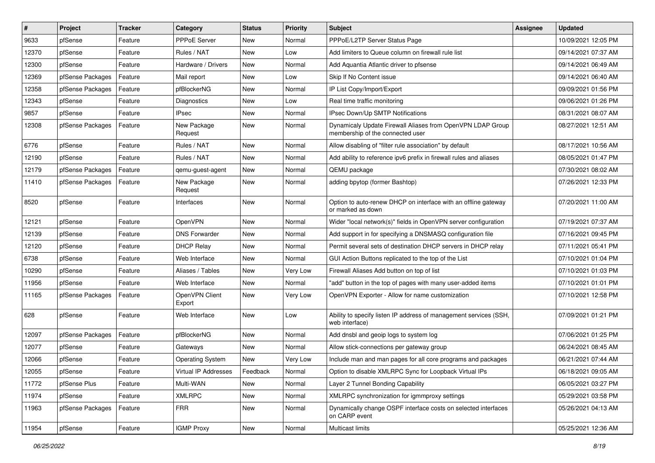| #     | Project          | <b>Tracker</b> | Category                 | <b>Status</b> | <b>Priority</b> | <b>Subject</b>                                                                                 | <b>Assignee</b> | <b>Updated</b>      |
|-------|------------------|----------------|--------------------------|---------------|-----------------|------------------------------------------------------------------------------------------------|-----------------|---------------------|
| 9633  | pfSense          | Feature        | PPPoE Server             | New           | Normal          | PPPoE/L2TP Server Status Page                                                                  |                 | 10/09/2021 12:05 PM |
| 12370 | pfSense          | Feature        | Rules / NAT              | New           | Low             | Add limiters to Queue column on firewall rule list                                             |                 | 09/14/2021 07:37 AM |
| 12300 | pfSense          | Feature        | Hardware / Drivers       | New           | Normal          | Add Aquantia Atlantic driver to pfsense                                                        |                 | 09/14/2021 06:49 AM |
| 12369 | pfSense Packages | Feature        | Mail report              | New           | Low             | Skip If No Content issue                                                                       |                 | 09/14/2021 06:40 AM |
| 12358 | pfSense Packages | Feature        | pfBlockerNG              | <b>New</b>    | Normal          | IP List Copy/Import/Export                                                                     |                 | 09/09/2021 01:56 PM |
| 12343 | pfSense          | Feature        | <b>Diagnostics</b>       | New           | Low             | Real time traffic monitoring                                                                   |                 | 09/06/2021 01:26 PM |
| 9857  | pfSense          | Feature        | <b>IPsec</b>             | <b>New</b>    | Normal          | IPsec Down/Up SMTP Notifications                                                               |                 | 08/31/2021 08:07 AM |
| 12308 | pfSense Packages | Feature        | New Package<br>Request   | New           | Normal          | Dynamicaly Update Firewall Aliases from OpenVPN LDAP Group<br>membership of the connected user |                 | 08/27/2021 12:51 AM |
| 6776  | pfSense          | Feature        | Rules / NAT              | <b>New</b>    | Normal          | Allow disabling of "filter rule association" by default                                        |                 | 08/17/2021 10:56 AM |
| 12190 | pfSense          | Feature        | Rules / NAT              | New           | Normal          | Add ability to reference ipv6 prefix in firewall rules and aliases                             |                 | 08/05/2021 01:47 PM |
| 12179 | pfSense Packages | Feature        | qemu-guest-agent         | New           | Normal          | QEMU package                                                                                   |                 | 07/30/2021 08:02 AM |
| 11410 | pfSense Packages | Feature        | New Package<br>Request   | <b>New</b>    | Normal          | adding bpytop (former Bashtop)                                                                 |                 | 07/26/2021 12:33 PM |
| 8520  | pfSense          | Feature        | Interfaces               | <b>New</b>    | Normal          | Option to auto-renew DHCP on interface with an offline gateway<br>or marked as down            |                 | 07/20/2021 11:00 AM |
| 12121 | pfSense          | Feature        | OpenVPN                  | New           | Normal          | Wider "local network(s)" fields in OpenVPN server configuration                                |                 | 07/19/2021 07:37 AM |
| 12139 | pfSense          | Feature        | <b>DNS Forwarder</b>     | New           | Normal          | Add support in for specifying a DNSMASQ configuration file                                     |                 | 07/16/2021 09:45 PM |
| 12120 | pfSense          | Feature        | <b>DHCP Relay</b>        | New           | Normal          | Permit several sets of destination DHCP servers in DHCP relay                                  |                 | 07/11/2021 05:41 PM |
| 6738  | pfSense          | Feature        | Web Interface            | New           | Normal          | GUI Action Buttons replicated to the top of the List                                           |                 | 07/10/2021 01:04 PM |
| 10290 | pfSense          | Feature        | Aliases / Tables         | <b>New</b>    | Very Low        | Firewall Aliases Add button on top of list                                                     |                 | 07/10/2021 01:03 PM |
| 11956 | pfSense          | Feature        | Web Interface            | New           | Normal          | "add" button in the top of pages with many user-added items                                    |                 | 07/10/2021 01:01 PM |
| 11165 | pfSense Packages | Feature        | OpenVPN Client<br>Export | New           | Very Low        | OpenVPN Exporter - Allow for name customization                                                |                 | 07/10/2021 12:58 PM |
| 628   | pfSense          | Feature        | Web Interface            | New           | Low             | Ability to specify listen IP address of management services (SSH,<br>web interface)            |                 | 07/09/2021 01:21 PM |
| 12097 | pfSense Packages | Feature        | pfBlockerNG              | <b>New</b>    | Normal          | Add dnsbl and geoip logs to system log                                                         |                 | 07/06/2021 01:25 PM |
| 12077 | pfSense          | Feature        | Gateways                 | <b>New</b>    | Normal          | Allow stick-connections per gateway group                                                      |                 | 06/24/2021 08:45 AM |
| 12066 | pfSense          | Feature        | <b>Operating System</b>  | <b>New</b>    | Very Low        | Include man and man pages for all core programs and packages                                   |                 | 06/21/2021 07:44 AM |
| 12055 | pfSense          | Feature        | Virtual IP Addresses     | Feedback      | Normal          | Option to disable XMLRPC Sync for Loopback Virtual IPs                                         |                 | 06/18/2021 09:05 AM |
| 11772 | pfSense Plus     | Feature        | Multi-WAN                | New           | Normal          | Layer 2 Tunnel Bonding Capability                                                              |                 | 06/05/2021 03:27 PM |
| 11974 | pfSense          | Feature        | <b>XMLRPC</b>            | New           | Normal          | XMLRPC synchronization for igmmproxy settings                                                  |                 | 05/29/2021 03:58 PM |
| 11963 | pfSense Packages | Feature        | <b>FRR</b>               | New           | Normal          | Dynamically change OSPF interface costs on selected interfaces<br>on CARP event                |                 | 05/26/2021 04:13 AM |
| 11954 | pfSense          | Feature        | <b>IGMP Proxy</b>        | New           | Normal          | Multicast limits                                                                               |                 | 05/25/2021 12:36 AM |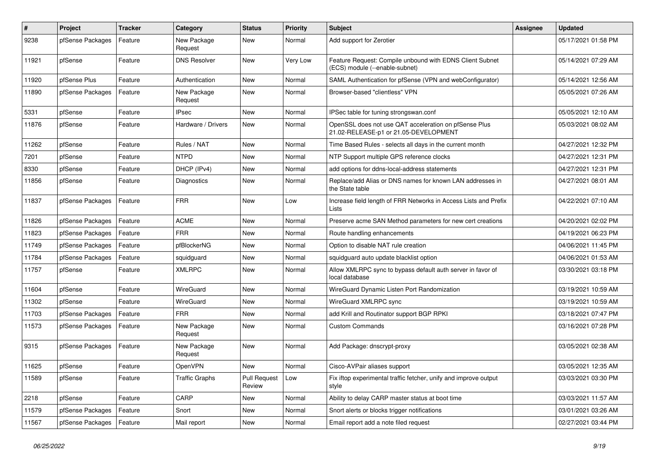| $\sharp$ | <b>Project</b>   | <b>Tracker</b> | Category               | <b>Status</b>                 | <b>Priority</b> | <b>Subject</b>                                                                                 | <b>Assignee</b> | <b>Updated</b>      |
|----------|------------------|----------------|------------------------|-------------------------------|-----------------|------------------------------------------------------------------------------------------------|-----------------|---------------------|
| 9238     | pfSense Packages | Feature        | New Package<br>Request | <b>New</b>                    | Normal          | Add support for Zerotier                                                                       |                 | 05/17/2021 01:58 PM |
| 11921    | pfSense          | Feature        | <b>DNS Resolver</b>    | <b>New</b>                    | Very Low        | Feature Request: Compile unbound with EDNS Client Subnet<br>(ECS) module (--enable-subnet)     |                 | 05/14/2021 07:29 AM |
| 11920    | pfSense Plus     | Feature        | Authentication         | New                           | Normal          | SAML Authentication for pfSense (VPN and webConfigurator)                                      |                 | 05/14/2021 12:56 AM |
| 11890    | pfSense Packages | Feature        | New Package<br>Request | <b>New</b>                    | Normal          | Browser-based "clientless" VPN                                                                 |                 | 05/05/2021 07:26 AM |
| 5331     | pfSense          | Feature        | <b>IPsec</b>           | <b>New</b>                    | Normal          | IPSec table for tuning strongswan.conf                                                         |                 | 05/05/2021 12:10 AM |
| 11876    | pfSense          | Feature        | Hardware / Drivers     | <b>New</b>                    | Normal          | OpenSSL does not use QAT acceleration on pfSense Plus<br>21.02-RELEASE-p1 or 21.05-DEVELOPMENT |                 | 05/03/2021 08:02 AM |
| 11262    | pfSense          | Feature        | Rules / NAT            | <b>New</b>                    | Normal          | Time Based Rules - selects all days in the current month                                       |                 | 04/27/2021 12:32 PM |
| 7201     | pfSense          | Feature        | <b>NTPD</b>            | <b>New</b>                    | Normal          | NTP Support multiple GPS reference clocks                                                      |                 | 04/27/2021 12:31 PM |
| 8330     | pfSense          | Feature        | DHCP (IPv4)            | New                           | Normal          | add options for ddns-local-address statements                                                  |                 | 04/27/2021 12:31 PM |
| 11856    | pfSense          | Feature        | Diagnostics            | New                           | Normal          | Replace/add Alias or DNS names for known LAN addresses in<br>the State table                   |                 | 04/27/2021 08:01 AM |
| 11837    | pfSense Packages | Feature        | <b>FRR</b>             | <b>New</b>                    | Low             | Increase field length of FRR Networks in Access Lists and Prefix<br>Lists                      |                 | 04/22/2021 07:10 AM |
| 11826    | pfSense Packages | Feature        | <b>ACME</b>            | <b>New</b>                    | Normal          | Preserve acme SAN Method parameters for new cert creations                                     |                 | 04/20/2021 02:02 PM |
| 11823    | pfSense Packages | Feature        | <b>FRR</b>             | <b>New</b>                    | Normal          | Route handling enhancements                                                                    |                 | 04/19/2021 06:23 PM |
| 11749    | pfSense Packages | Feature        | pfBlockerNG            | New                           | Normal          | Option to disable NAT rule creation                                                            |                 | 04/06/2021 11:45 PM |
| 11784    | pfSense Packages | Feature        | squidguard             | <b>New</b>                    | Normal          | squidguard auto update blacklist option                                                        |                 | 04/06/2021 01:53 AM |
| 11757    | pfSense          | Feature        | <b>XMLRPC</b>          | <b>New</b>                    | Normal          | Allow XMLRPC sync to bypass default auth server in favor of<br>local database                  |                 | 03/30/2021 03:18 PM |
| 11604    | pfSense          | Feature        | WireGuard              | <b>New</b>                    | Normal          | WireGuard Dynamic Listen Port Randomization                                                    |                 | 03/19/2021 10:59 AM |
| 11302    | pfSense          | Feature        | WireGuard              | New                           | Normal          | WireGuard XMLRPC sync                                                                          |                 | 03/19/2021 10:59 AM |
| 11703    | pfSense Packages | Feature        | <b>FRR</b>             | <b>New</b>                    | Normal          | add Krill and Routinator support BGP RPKI                                                      |                 | 03/18/2021 07:47 PM |
| 11573    | pfSense Packages | Feature        | New Package<br>Request | <b>New</b>                    | Normal          | <b>Custom Commands</b>                                                                         |                 | 03/16/2021 07:28 PM |
| 9315     | pfSense Packages | Feature        | New Package<br>Request | <b>New</b>                    | Normal          | Add Package: dnscrypt-proxy                                                                    |                 | 03/05/2021 02:38 AM |
| 11625    | pfSense          | Feature        | OpenVPN                | <b>New</b>                    | Normal          | Cisco-AVPair aliases support                                                                   |                 | 03/05/2021 12:35 AM |
| 11589    | pfSense          | Feature        | Traffic Graphs         | <b>Pull Request</b><br>Review | Low             | Fix iftop experimental traffic fetcher, unify and improve output<br>style                      |                 | 03/03/2021 03:30 PM |
| 2218     | pfSense          | Feature        | CARP                   | <b>New</b>                    | Normal          | Ability to delay CARP master status at boot time                                               |                 | 03/03/2021 11:57 AM |
| 11579    | pfSense Packages | Feature        | Snort                  | <b>New</b>                    | Normal          | Snort alerts or blocks trigger notifications                                                   |                 | 03/01/2021 03:26 AM |
| 11567    | pfSense Packages | Feature        | Mail report            | <b>New</b>                    | Normal          | Email report add a note filed request                                                          |                 | 02/27/2021 03:44 PM |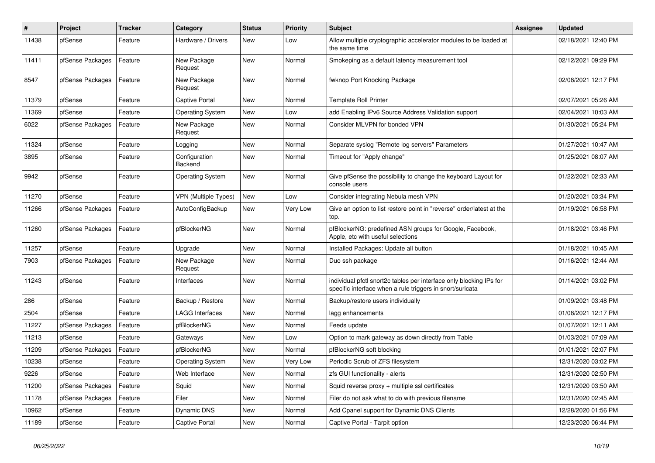| $\vert$ # | Project          | <b>Tracker</b> | Category                    | <b>Status</b> | Priority | <b>Subject</b>                                                                                                                   | <b>Assignee</b> | <b>Updated</b>      |
|-----------|------------------|----------------|-----------------------------|---------------|----------|----------------------------------------------------------------------------------------------------------------------------------|-----------------|---------------------|
| 11438     | pfSense          | Feature        | Hardware / Drivers          | <b>New</b>    | Low      | Allow multiple cryptographic accelerator modules to be loaded at<br>the same time                                                |                 | 02/18/2021 12:40 PM |
| 11411     | pfSense Packages | Feature        | New Package<br>Request      | <b>New</b>    | Normal   | Smokeping as a default latency measurement tool                                                                                  |                 | 02/12/2021 09:29 PM |
| 8547      | pfSense Packages | Feature        | New Package<br>Request      | <b>New</b>    | Normal   | fwknop Port Knocking Package                                                                                                     |                 | 02/08/2021 12:17 PM |
| 11379     | pfSense          | Feature        | <b>Captive Portal</b>       | <b>New</b>    | Normal   | Template Roll Printer                                                                                                            |                 | 02/07/2021 05:26 AM |
| 11369     | pfSense          | Feature        | <b>Operating System</b>     | New           | Low      | add Enabling IPv6 Source Address Validation support                                                                              |                 | 02/04/2021 10:03 AM |
| 6022      | pfSense Packages | Feature        | New Package<br>Request      | New           | Normal   | Consider MLVPN for bonded VPN                                                                                                    |                 | 01/30/2021 05:24 PM |
| 11324     | pfSense          | Feature        | Logging                     | <b>New</b>    | Normal   | Separate syslog "Remote log servers" Parameters                                                                                  |                 | 01/27/2021 10:47 AM |
| 3895      | pfSense          | Feature        | Configuration<br>Backend    | <b>New</b>    | Normal   | Timeout for "Apply change"                                                                                                       |                 | 01/25/2021 08:07 AM |
| 9942      | pfSense          | Feature        | <b>Operating System</b>     | New           | Normal   | Give pfSense the possibility to change the keyboard Layout for<br>console users                                                  |                 | 01/22/2021 02:33 AM |
| 11270     | pfSense          | Feature        | <b>VPN (Multiple Types)</b> | New           | Low      | Consider integrating Nebula mesh VPN                                                                                             |                 | 01/20/2021 03:34 PM |
| 11266     | pfSense Packages | Feature        | AutoConfigBackup            | New           | Very Low | Give an option to list restore point in "reverse" order/latest at the<br>top.                                                    |                 | 01/19/2021 06:58 PM |
| 11260     | pfSense Packages | Feature        | pfBlockerNG                 | <b>New</b>    | Normal   | pfBlockerNG: predefined ASN groups for Google, Facebook,<br>Apple, etc with useful selections                                    |                 | 01/18/2021 03:46 PM |
| 11257     | pfSense          | Feature        | Upgrade                     | <b>New</b>    | Normal   | Installed Packages: Update all button                                                                                            |                 | 01/18/2021 10:45 AM |
| 7903      | pfSense Packages | Feature        | New Package<br>Request      | <b>New</b>    | Normal   | Duo ssh package                                                                                                                  |                 | 01/16/2021 12:44 AM |
| 11243     | pfSense          | Feature        | Interfaces                  | New           | Normal   | individual pfctl snort2c tables per interface only blocking IPs for<br>specific interface when a rule triggers in snort/suricata |                 | 01/14/2021 03:02 PM |
| 286       | pfSense          | Feature        | Backup / Restore            | <b>New</b>    | Normal   | Backup/restore users individually                                                                                                |                 | 01/09/2021 03:48 PM |
| 2504      | pfSense          | Feature        | LAGG Interfaces             | New           | Normal   | lagg enhancements                                                                                                                |                 | 01/08/2021 12:17 PM |
| 11227     | pfSense Packages | Feature        | pfBlockerNG                 | <b>New</b>    | Normal   | Feeds update                                                                                                                     |                 | 01/07/2021 12:11 AM |
| 11213     | pfSense          | Feature        | Gateways                    | New           | Low      | Option to mark gateway as down directly from Table                                                                               |                 | 01/03/2021 07:09 AM |
| 11209     | pfSense Packages | Feature        | pfBlockerNG                 | <b>New</b>    | Normal   | pfBlockerNG soft blocking                                                                                                        |                 | 01/01/2021 02:07 PM |
| 10238     | pfSense          | Feature        | <b>Operating System</b>     | <b>New</b>    | Very Low | Periodic Scrub of ZFS filesystem                                                                                                 |                 | 12/31/2020 03:02 PM |
| 9226      | pfSense          | Feature        | Web Interface               | <b>New</b>    | Normal   | zfs GUI functionality - alerts                                                                                                   |                 | 12/31/2020 02:50 PM |
| 11200     | pfSense Packages | Feature        | Squid                       | <b>New</b>    | Normal   | Squid reverse proxy + multiple ssl certificates                                                                                  |                 | 12/31/2020 03:50 AM |
| 11178     | pfSense Packages | Feature        | Filer                       | New           | Normal   | Filer do not ask what to do with previous filename                                                                               |                 | 12/31/2020 02:45 AM |
| 10962     | pfSense          | Feature        | <b>Dynamic DNS</b>          | New           | Normal   | Add Cpanel support for Dynamic DNS Clients                                                                                       |                 | 12/28/2020 01:56 PM |
| 11189     | pfSense          | Feature        | Captive Portal              | New           | Normal   | Captive Portal - Tarpit option                                                                                                   |                 | 12/23/2020 06:44 PM |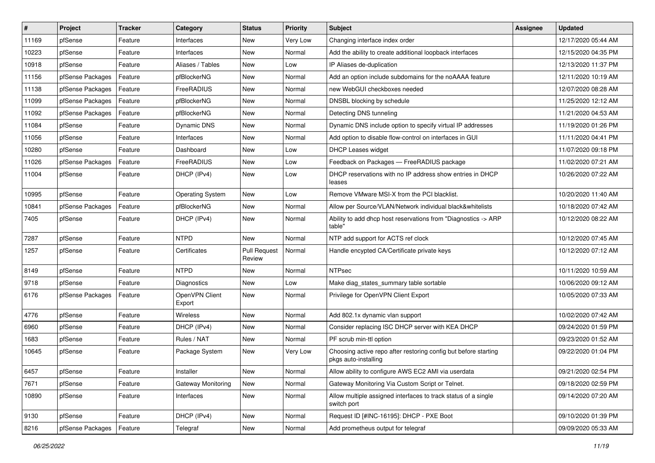| #     | Project          | <b>Tracker</b> | Category                 | <b>Status</b>                 | <b>Priority</b> | Subject                                                                                 | <b>Assignee</b> | <b>Updated</b>      |
|-------|------------------|----------------|--------------------------|-------------------------------|-----------------|-----------------------------------------------------------------------------------------|-----------------|---------------------|
| 11169 | pfSense          | Feature        | Interfaces               | New                           | Very Low        | Changing interface index order                                                          |                 | 12/17/2020 05:44 AM |
| 10223 | pfSense          | Feature        | Interfaces               | <b>New</b>                    | Normal          | Add the ability to create additional loopback interfaces                                |                 | 12/15/2020 04:35 PM |
| 10918 | pfSense          | Feature        | Aliases / Tables         | New                           | Low             | IP Aliases de-duplication                                                               |                 | 12/13/2020 11:37 PM |
| 11156 | pfSense Packages | Feature        | pfBlockerNG              | New                           | Normal          | Add an option include subdomains for the noAAAA feature                                 |                 | 12/11/2020 10:19 AM |
| 11138 | pfSense Packages | Feature        | FreeRADIUS               | New                           | Normal          | new WebGUI checkboxes needed                                                            |                 | 12/07/2020 08:28 AM |
| 11099 | pfSense Packages | Feature        | pfBlockerNG              | New                           | Normal          | DNSBL blocking by schedule                                                              |                 | 11/25/2020 12:12 AM |
| 11092 | pfSense Packages | Feature        | pfBlockerNG              | New                           | Normal          | Detecting DNS tunneling                                                                 |                 | 11/21/2020 04:53 AM |
| 11084 | pfSense          | Feature        | <b>Dynamic DNS</b>       | New                           | Normal          | Dynamic DNS include option to specify virtual IP addresses                              |                 | 11/19/2020 01:26 PM |
| 11056 | pfSense          | Feature        | Interfaces               | New                           | Normal          | Add option to disable flow-control on interfaces in GUI                                 |                 | 11/11/2020 04:41 PM |
| 10280 | pfSense          | Feature        | Dashboard                | New                           | Low             | <b>DHCP Leases widget</b>                                                               |                 | 11/07/2020 09:18 PM |
| 11026 | pfSense Packages | Feature        | FreeRADIUS               | New                           | Low             | Feedback on Packages - FreeRADIUS package                                               |                 | 11/02/2020 07:21 AM |
| 11004 | pfSense          | Feature        | DHCP (IPv4)              | New                           | Low             | DHCP reservations with no IP address show entries in DHCP<br>leases                     |                 | 10/26/2020 07:22 AM |
| 10995 | pfSense          | Feature        | <b>Operating System</b>  | New                           | Low             | Remove VMware MSI-X from the PCI blacklist.                                             |                 | 10/20/2020 11:40 AM |
| 10841 | pfSense Packages | Feature        | pfBlockerNG              | <b>New</b>                    | Normal          | Allow per Source/VLAN/Network individual black&whitelists                               |                 | 10/18/2020 07:42 AM |
| 7405  | pfSense          | Feature        | DHCP (IPv4)              | New                           | Normal          | Ability to add dhcp host reservations from "Diagnostics -> ARP<br>table"                |                 | 10/12/2020 08:22 AM |
| 7287  | pfSense          | Feature        | <b>NTPD</b>              | <b>New</b>                    | Normal          | NTP add support for ACTS ref clock                                                      |                 | 10/12/2020 07:45 AM |
| 1257  | pfSense          | Feature        | Certificates             | <b>Pull Request</b><br>Review | Normal          | Handle encypted CA/Certificate private keys                                             |                 | 10/12/2020 07:12 AM |
| 8149  | pfSense          | Feature        | <b>NTPD</b>              | <b>New</b>                    | Normal          | <b>NTPsec</b>                                                                           |                 | 10/11/2020 10:59 AM |
| 9718  | pfSense          | Feature        | <b>Diagnostics</b>       | New                           | Low             | Make diag_states_summary table sortable                                                 |                 | 10/06/2020 09:12 AM |
| 6176  | pfSense Packages | Feature        | OpenVPN Client<br>Export | New                           | Normal          | Privilege for OpenVPN Client Export                                                     |                 | 10/05/2020 07:33 AM |
| 4776  | pfSense          | Feature        | Wireless                 | New                           | Normal          | Add 802.1x dynamic vlan support                                                         |                 | 10/02/2020 07:42 AM |
| 6960  | pfSense          | Feature        | DHCP (IPv4)              | New                           | Normal          | Consider replacing ISC DHCP server with KEA DHCP                                        |                 | 09/24/2020 01:59 PM |
| 1683  | pfSense          | Feature        | Rules / NAT              | New                           | Normal          | PF scrub min-ttl option                                                                 |                 | 09/23/2020 01:52 AM |
| 10645 | pfSense          | Feature        | Package System           | New                           | Very Low        | Choosing active repo after restoring config but before starting<br>pkgs auto-installing |                 | 09/22/2020 01:04 PM |
| 6457  | pfSense          | Feature        | Installer                | New                           | Normal          | Allow ability to configure AWS EC2 AMI via userdata                                     |                 | 09/21/2020 02:54 PM |
| 7671  | pfSense          | Feature        | Gateway Monitoring       | New                           | Normal          | Gateway Monitoring Via Custom Script or Telnet.                                         |                 | 09/18/2020 02:59 PM |
| 10890 | pfSense          | Feature        | Interfaces               | New                           | Normal          | Allow multiple assigned interfaces to track status of a single<br>switch port           |                 | 09/14/2020 07:20 AM |
| 9130  | pfSense          | Feature        | DHCP (IPv4)              | New                           | Normal          | Request ID [#INC-16195]: DHCP - PXE Boot                                                |                 | 09/10/2020 01:39 PM |
| 8216  | pfSense Packages | Feature        | Telegraf                 | New                           | Normal          | Add prometheus output for telegraf                                                      |                 | 09/09/2020 05:33 AM |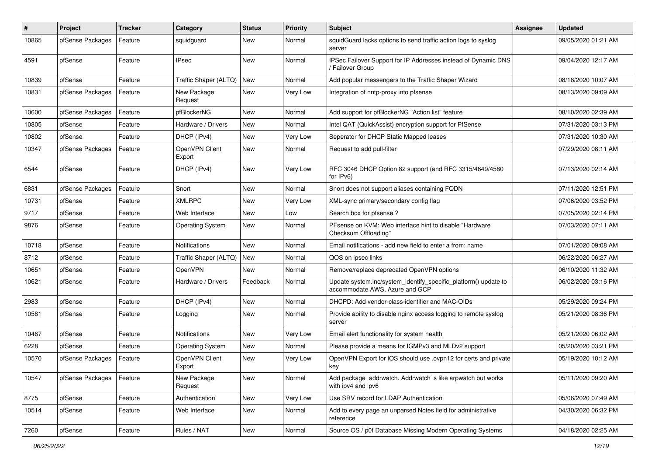| #     | Project          | <b>Tracker</b> | Category                 | <b>Status</b> | <b>Priority</b> | <b>Subject</b>                                                                                    | <b>Assignee</b> | <b>Updated</b>      |
|-------|------------------|----------------|--------------------------|---------------|-----------------|---------------------------------------------------------------------------------------------------|-----------------|---------------------|
| 10865 | pfSense Packages | Feature        | squidguard               | <b>New</b>    | Normal          | squidGuard lacks options to send traffic action logs to syslog<br>server                          |                 | 09/05/2020 01:21 AM |
| 4591  | pfSense          | Feature        | <b>IPsec</b>             | <b>New</b>    | Normal          | IPSec Failover Support for IP Addresses instead of Dynamic DNS<br>Failover Group                  |                 | 09/04/2020 12:17 AM |
| 10839 | pfSense          | Feature        | Traffic Shaper (ALTQ)    | <b>New</b>    | Normal          | Add popular messengers to the Traffic Shaper Wizard                                               |                 | 08/18/2020 10:07 AM |
| 10831 | pfSense Packages | Feature        | New Package<br>Request   | <b>New</b>    | Very Low        | Integration of nntp-proxy into pfsense                                                            |                 | 08/13/2020 09:09 AM |
| 10600 | pfSense Packages | Feature        | pfBlockerNG              | <b>New</b>    | Normal          | Add support for pfBlockerNG "Action list" feature                                                 |                 | 08/10/2020 02:39 AM |
| 10805 | pfSense          | Feature        | Hardware / Drivers       | New           | Normal          | Intel QAT (QuickAssist) encryption support for PfSense                                            |                 | 07/31/2020 03:13 PM |
| 10802 | pfSense          | Feature        | DHCP (IPv4)              | <b>New</b>    | Very Low        | Seperator for DHCP Static Mapped leases                                                           |                 | 07/31/2020 10:30 AM |
| 10347 | pfSense Packages | Feature        | OpenVPN Client<br>Export | New           | Normal          | Request to add pull-filter                                                                        |                 | 07/29/2020 08:11 AM |
| 6544  | pfSense          | Feature        | DHCP (IPv4)              | <b>New</b>    | Very Low        | RFC 3046 DHCP Option 82 support (and RFC 3315/4649/4580<br>for IPv6)                              |                 | 07/13/2020 02:14 AM |
| 6831  | pfSense Packages | Feature        | Snort                    | <b>New</b>    | Normal          | Snort does not support aliases containing FQDN                                                    |                 | 07/11/2020 12:51 PM |
| 10731 | pfSense          | Feature        | <b>XMLRPC</b>            | <b>New</b>    | Very Low        | XML-sync primary/secondary config flag                                                            |                 | 07/06/2020 03:52 PM |
| 9717  | pfSense          | Feature        | Web Interface            | New           | Low             | Search box for pfsense ?                                                                          |                 | 07/05/2020 02:14 PM |
| 9876  | pfSense          | Feature        | <b>Operating System</b>  | <b>New</b>    | Normal          | PFsense on KVM: Web interface hint to disable "Hardware"<br>Checksum Offloading"                  |                 | 07/03/2020 07:11 AM |
| 10718 | pfSense          | Feature        | Notifications            | <b>New</b>    | Normal          | Email notifications - add new field to enter a from: name                                         |                 | 07/01/2020 09:08 AM |
| 8712  | pfSense          | Feature        | Traffic Shaper (ALTQ)    | <b>New</b>    | Normal          | QOS on ipsec links                                                                                |                 | 06/22/2020 06:27 AM |
| 10651 | pfSense          | Feature        | OpenVPN                  | New           | Normal          | Remove/replace deprecated OpenVPN options                                                         |                 | 06/10/2020 11:32 AM |
| 10621 | pfSense          | Feature        | Hardware / Drivers       | Feedback      | Normal          | Update system.inc/system_identify_specific_platform() update to<br>accommodate AWS, Azure and GCP |                 | 06/02/2020 03:16 PM |
| 2983  | pfSense          | Feature        | DHCP (IPv4)              | New           | Normal          | DHCPD: Add vendor-class-identifier and MAC-OIDs                                                   |                 | 05/29/2020 09:24 PM |
| 10581 | pfSense          | Feature        | Logging                  | New           | Normal          | Provide ability to disable nginx access logging to remote syslog<br>server                        |                 | 05/21/2020 08:36 PM |
| 10467 | pfSense          | Feature        | Notifications            | New           | Very Low        | Email alert functionality for system health                                                       |                 | 05/21/2020 06:02 AM |
| 6228  | pfSense          | Feature        | <b>Operating System</b>  | New           | Normal          | Please provide a means for IGMPv3 and MLDv2 support                                               |                 | 05/20/2020 03:21 PM |
| 10570 | pfSense Packages | Feature        | OpenVPN Client<br>Export | New           | Very Low        | OpenVPN Export for iOS should use .ovpn12 for certs and private<br>key                            |                 | 05/19/2020 10:12 AM |
| 10547 | pfSense Packages | Feature        | New Package<br>Request   | New           | Normal          | Add package addrwatch. Addrwatch is like arpwatch but works<br>with ipv4 and ipv6                 |                 | 05/11/2020 09:20 AM |
| 8775  | pfSense          | Feature        | Authentication           | New           | Very Low        | Use SRV record for LDAP Authentication                                                            |                 | 05/06/2020 07:49 AM |
| 10514 | pfSense          | Feature        | Web Interface            | New           | Normal          | Add to every page an unparsed Notes field for administrative<br>reference                         |                 | 04/30/2020 06:32 PM |
| 7260  | pfSense          | Feature        | Rules / NAT              | New           | Normal          | Source OS / p0f Database Missing Modern Operating Systems                                         |                 | 04/18/2020 02:25 AM |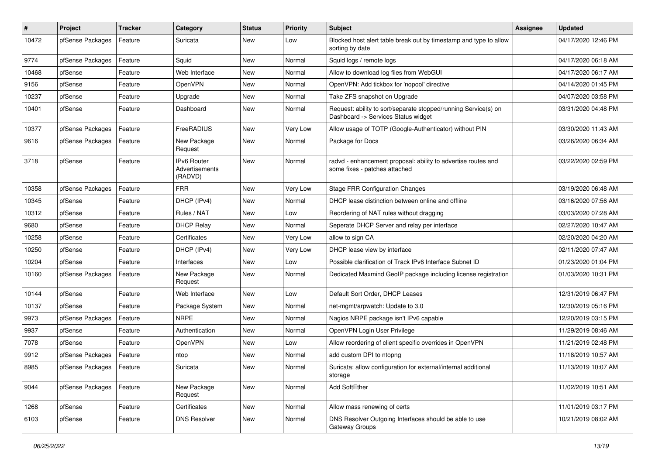| #     | Project          | <b>Tracker</b> | Category                                        | <b>Status</b> | <b>Priority</b> | <b>Subject</b>                                                                                         | <b>Assignee</b> | <b>Updated</b>      |
|-------|------------------|----------------|-------------------------------------------------|---------------|-----------------|--------------------------------------------------------------------------------------------------------|-----------------|---------------------|
| 10472 | pfSense Packages | Feature        | Suricata                                        | New           | Low             | Blocked host alert table break out by timestamp and type to allow<br>sorting by date                   |                 | 04/17/2020 12:46 PM |
| 9774  | pfSense Packages | Feature        | Squid                                           | New           | Normal          | Squid logs / remote logs                                                                               |                 | 04/17/2020 06:18 AM |
| 10468 | pfSense          | Feature        | Web Interface                                   | New           | Normal          | Allow to download log files from WebGUI                                                                |                 | 04/17/2020 06:17 AM |
| 9156  | pfSense          | Feature        | OpenVPN                                         | <b>New</b>    | Normal          | OpenVPN: Add tickbox for 'nopool' directive                                                            |                 | 04/14/2020 01:45 PM |
| 10237 | pfSense          | Feature        | Upgrade                                         | New           | Normal          | Take ZFS snapshot on Upgrade                                                                           |                 | 04/07/2020 03:58 PM |
| 10401 | pfSense          | Feature        | Dashboard                                       | New           | Normal          | Request: ability to sort/separate stopped/running Service(s) on<br>Dashboard -> Services Status widget |                 | 03/31/2020 04:48 PM |
| 10377 | pfSense Packages | Feature        | FreeRADIUS                                      | <b>New</b>    | Very Low        | Allow usage of TOTP (Google-Authenticator) without PIN                                                 |                 | 03/30/2020 11:43 AM |
| 9616  | pfSense Packages | Feature        | New Package<br>Request                          | New           | Normal          | Package for Docs                                                                                       |                 | 03/26/2020 06:34 AM |
| 3718  | pfSense          | Feature        | <b>IPv6 Router</b><br>Advertisements<br>(RADVD) | <b>New</b>    | Normal          | radvd - enhancement proposal: ability to advertise routes and<br>some fixes - patches attached         |                 | 03/22/2020 02:59 PM |
| 10358 | pfSense Packages | Feature        | <b>FRR</b>                                      | New           | Very Low        | <b>Stage FRR Configuration Changes</b>                                                                 |                 | 03/19/2020 06:48 AM |
| 10345 | pfSense          | Feature        | DHCP (IPv4)                                     | New           | Normal          | DHCP lease distinction between online and offline                                                      |                 | 03/16/2020 07:56 AM |
| 10312 | pfSense          | Feature        | Rules / NAT                                     | New           | Low             | Reordering of NAT rules without dragging                                                               |                 | 03/03/2020 07:28 AM |
| 9680  | pfSense          | Feature        | <b>DHCP Relay</b>                               | New           | Normal          | Seperate DHCP Server and relay per interface                                                           |                 | 02/27/2020 10:47 AM |
| 10258 | pfSense          | Feature        | Certificates                                    | New           | Very Low        | allow to sign CA                                                                                       |                 | 02/20/2020 04:20 AM |
| 10250 | pfSense          | Feature        | DHCP (IPv4)                                     | New           | Very Low        | DHCP lease view by interface                                                                           |                 | 02/11/2020 07:47 AM |
| 10204 | pfSense          | Feature        | Interfaces                                      | New           | Low             | Possible clarification of Track IPv6 Interface Subnet ID                                               |                 | 01/23/2020 01:04 PM |
| 10160 | pfSense Packages | Feature        | New Package<br>Request                          | New           | Normal          | Dedicated Maxmind GeoIP package including license registration                                         |                 | 01/03/2020 10:31 PM |
| 10144 | pfSense          | Feature        | Web Interface                                   | <b>New</b>    | Low             | Default Sort Order, DHCP Leases                                                                        |                 | 12/31/2019 06:47 PM |
| 10137 | pfSense          | Feature        | Package System                                  | New           | Normal          | net-mgmt/arpwatch: Update to 3.0                                                                       |                 | 12/30/2019 05:16 PM |
| 9973  | pfSense Packages | Feature        | <b>NRPE</b>                                     | <b>New</b>    | Normal          | Nagios NRPE package isn't IPv6 capable                                                                 |                 | 12/20/2019 03:15 PM |
| 9937  | pfSense          | Feature        | Authentication                                  | New           | Normal          | OpenVPN Login User Privilege                                                                           |                 | 11/29/2019 08:46 AM |
| 7078  | pfSense          | Feature        | OpenVPN                                         | New           | Low             | Allow reordering of client specific overrides in OpenVPN                                               |                 | 11/21/2019 02:48 PM |
| 9912  | pfSense Packages | Feature        | ntop                                            | New           | Normal          | add custom DPI to ntopng                                                                               |                 | 11/18/2019 10:57 AM |
| 8985  | pfSense Packages | Feature        | Suricata                                        | New           | Normal          | Suricata: allow configuration for external/internal additional<br>storage                              |                 | 11/13/2019 10:07 AM |
| 9044  | pfSense Packages | Feature        | New Package<br>Request                          | New           | Normal          | Add SoftEther                                                                                          |                 | 11/02/2019 10:51 AM |
| 1268  | pfSense          | Feature        | Certificates                                    | New           | Normal          | Allow mass renewing of certs                                                                           |                 | 11/01/2019 03:17 PM |
| 6103  | pfSense          | Feature        | <b>DNS Resolver</b>                             | New           | Normal          | DNS Resolver Outgoing Interfaces should be able to use<br>Gateway Groups                               |                 | 10/21/2019 08:02 AM |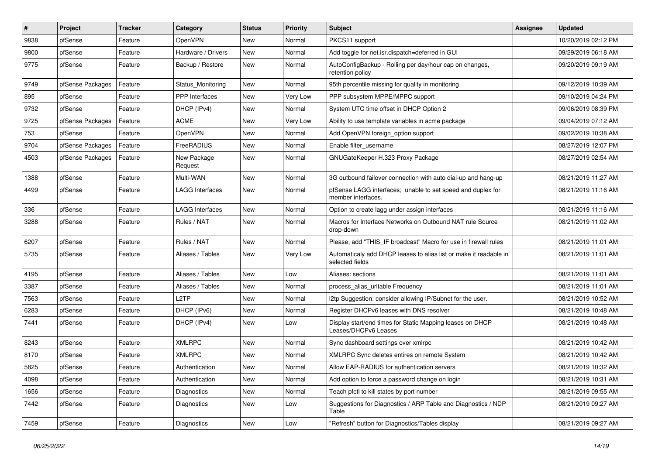| $\vert$ # | Project          | <b>Tracker</b> | Category               | <b>Status</b> | <b>Priority</b> | Subject                                                                              | <b>Assignee</b> | <b>Updated</b>      |
|-----------|------------------|----------------|------------------------|---------------|-----------------|--------------------------------------------------------------------------------------|-----------------|---------------------|
| 9838      | pfSense          | Feature        | OpenVPN                | New           | Normal          | PKCS11 support                                                                       |                 | 10/20/2019 02:12 PM |
| 9800      | pfSense          | Feature        | Hardware / Drivers     | New           | Normal          | Add toggle for net.isr.dispatch=deferred in GUI                                      |                 | 09/29/2019 06:18 AM |
| 9775      | pfSense          | Feature        | Backup / Restore       | New           | Normal          | AutoConfigBackup - Rolling per day/hour cap on changes,<br>retention policy          |                 | 09/20/2019 09:19 AM |
| 9749      | pfSense Packages | Feature        | Status_Monitoring      | New           | Normal          | 95th percentile missing for quality in monitoring                                    |                 | 09/12/2019 10:39 AM |
| 895       | pfSense          | Feature        | PPP Interfaces         | New           | Very Low        | PPP subsystem MPPE/MPPC support                                                      |                 | 09/10/2019 04:24 PM |
| 9732      | pfSense          | Feature        | DHCP (IPv4)            | New           | Normal          | System UTC time offset in DHCP Option 2                                              |                 | 09/06/2019 08:39 PM |
| 9725      | pfSense Packages | Feature        | ACME                   | New           | Very Low        | Ability to use template variables in acme package                                    |                 | 09/04/2019 07:12 AM |
| 753       | pfSense          | Feature        | <b>OpenVPN</b>         | New           | Normal          | Add OpenVPN foreign option support                                                   |                 | 09/02/2019 10:38 AM |
| 9704      | pfSense Packages | Feature        | FreeRADIUS             | New           | Normal          | Enable filter username                                                               |                 | 08/27/2019 12:07 PM |
| 4503      | pfSense Packages | Feature        | New Package<br>Request | New           | Normal          | GNUGateKeeper H.323 Proxy Package                                                    |                 | 08/27/2019 02:54 AM |
| 1388      | pfSense          | Feature        | Multi-WAN              | New           | Normal          | 3G outbound failover connection with auto dial-up and hang-up                        |                 | 08/21/2019 11:27 AM |
| 4499      | pfSense          | Feature        | LAGG Interfaces        | New           | Normal          | pfSense LAGG interfaces; unable to set speed and duplex for<br>member interfaces.    |                 | 08/21/2019 11:16 AM |
| 336       | pfSense          | Feature        | LAGG Interfaces        | New           | Normal          | Option to create lagg under assign interfaces                                        |                 | 08/21/2019 11:16 AM |
| 3288      | pfSense          | Feature        | Rules / NAT            | New           | Normal          | Macros for Interface Networks on Outbound NAT rule Source<br>drop-down               |                 | 08/21/2019 11:02 AM |
| 6207      | pfSense          | Feature        | Rules / NAT            | New           | Normal          | Please, add "THIS_IF broadcast" Macro for use in firewall rules                      |                 | 08/21/2019 11:01 AM |
| 5735      | pfSense          | Feature        | Aliases / Tables       | New           | Very Low        | Automaticaly add DHCP leases to alias list or make it readable in<br>selected fields |                 | 08/21/2019 11:01 AM |
| 4195      | pfSense          | Feature        | Aliases / Tables       | <b>New</b>    | Low             | Aliases: sections                                                                    |                 | 08/21/2019 11:01 AM |
| 3387      | pfSense          | Feature        | Aliases / Tables       | New           | Normal          | process_alias_urItable Frequency                                                     |                 | 08/21/2019 11:01 AM |
| 7563      | pfSense          | Feature        | L <sub>2</sub> TP      | <b>New</b>    | Normal          | I2tp Suggestion: consider allowing IP/Subnet for the user.                           |                 | 08/21/2019 10:52 AM |
| 6283      | pfSense          | Feature        | DHCP (IPv6)            | New           | Normal          | Register DHCPv6 leases with DNS resolver                                             |                 | 08/21/2019 10:48 AM |
| 7441      | pfSense          | Feature        | DHCP (IPv4)            | New           | Low             | Display start/end times for Static Mapping leases on DHCP<br>Leases/DHCPv6 Leases    |                 | 08/21/2019 10:48 AM |
| 8243      | pfSense          | Feature        | <b>XMLRPC</b>          | New           | Normal          | Sync dashboard settings over xmlrpc                                                  |                 | 08/21/2019 10:42 AM |
| 8170      | pfSense          | Feature        | <b>XMLRPC</b>          | New           | Normal          | XMLRPC Sync deletes entires on remote System                                         |                 | 08/21/2019 10:42 AM |
| 5825      | pfSense          | Feature        | Authentication         | New           | Normal          | Allow EAP-RADIUS for authentication servers                                          |                 | 08/21/2019 10:32 AM |
| 4098      | pfSense          | Feature        | Authentication         | New           | Normal          | Add option to force a password change on login                                       |                 | 08/21/2019 10:31 AM |
| 1656      | pfSense          | Feature        | Diagnostics            | New           | Normal          | Teach pfctl to kill states by port number                                            |                 | 08/21/2019 09:55 AM |
| 7442      | pfSense          | Feature        | Diagnostics            | New           | Low             | Suggestions for Diagnostics / ARP Table and Diagnostics / NDP<br>Table               |                 | 08/21/2019 09:27 AM |
| 7459      | pfSense          | Feature        | Diagnostics            | New           | Low             | "Refresh" button for Diagnostics/Tables display                                      |                 | 08/21/2019 09:27 AM |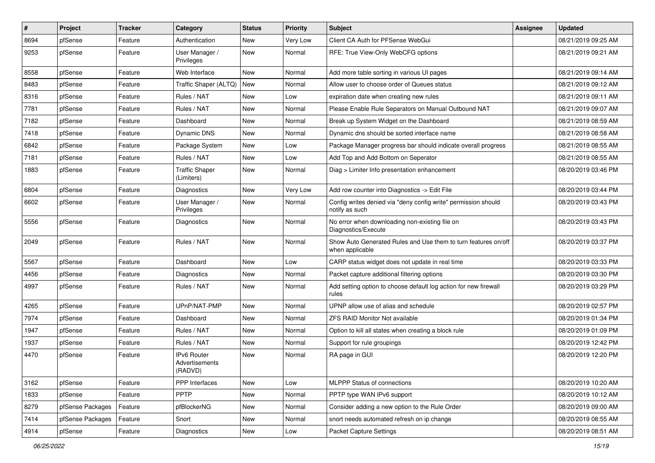| $\sharp$ | Project          | <b>Tracker</b> | Category                                        | <b>Status</b> | <b>Priority</b> | Subject                                                                           | <b>Assignee</b> | <b>Updated</b>      |
|----------|------------------|----------------|-------------------------------------------------|---------------|-----------------|-----------------------------------------------------------------------------------|-----------------|---------------------|
| 8694     | pfSense          | Feature        | Authentication                                  | New           | Very Low        | Client CA Auth for PFSense WebGui                                                 |                 | 08/21/2019 09:25 AM |
| 9253     | pfSense          | Feature        | User Manager /<br>Privileges                    | New           | Normal          | RFE: True View-Only WebCFG options                                                |                 | 08/21/2019 09:21 AM |
| 8558     | pfSense          | Feature        | Web Interface                                   | <b>New</b>    | Normal          | Add more table sorting in various UI pages                                        |                 | 08/21/2019 09:14 AM |
| 8483     | pfSense          | Feature        | Traffic Shaper (ALTQ)                           | <b>New</b>    | Normal          | Allow user to choose order of Queues status                                       |                 | 08/21/2019 09:12 AM |
| 8316     | pfSense          | Feature        | Rules / NAT                                     | New           | Low             | expiration date when creating new rules                                           |                 | 08/21/2019 09:11 AM |
| 7781     | pfSense          | Feature        | Rules / NAT                                     | <b>New</b>    | Normal          | Please Enable Rule Separators on Manual Outbound NAT                              |                 | 08/21/2019 09:07 AM |
| 7182     | pfSense          | Feature        | Dashboard                                       | <b>New</b>    | Normal          | Break up System Widget on the Dashboard                                           |                 | 08/21/2019 08:59 AM |
| 7418     | pfSense          | Feature        | Dynamic DNS                                     | New           | Normal          | Dynamic dns should be sorted interface name                                       |                 | 08/21/2019 08:58 AM |
| 6842     | pfSense          | Feature        | Package System                                  | <b>New</b>    | Low             | Package Manager progress bar should indicate overall progress                     |                 | 08/21/2019 08:55 AM |
| 7181     | pfSense          | Feature        | Rules / NAT                                     | New           | Low             | Add Top and Add Bottom on Seperator                                               |                 | 08/21/2019 08:55 AM |
| 1883     | pfSense          | Feature        | <b>Traffic Shaper</b><br>(Limiters)             | <b>New</b>    | Normal          | Diag > Limiter Info presentation enhancement                                      |                 | 08/20/2019 03:46 PM |
| 6804     | pfSense          | Feature        | <b>Diagnostics</b>                              | <b>New</b>    | Very Low        | Add row counter into Diagnostics -> Edit File                                     |                 | 08/20/2019 03:44 PM |
| 6602     | pfSense          | Feature        | User Manager /<br>Privileges                    | <b>New</b>    | Normal          | Config writes denied via "deny config write" permission should<br>notify as such  |                 | 08/20/2019 03:43 PM |
| 5556     | pfSense          | Feature        | Diagnostics                                     | <b>New</b>    | Normal          | No error when downloading non-existing file on<br>Diagnostics/Execute             |                 | 08/20/2019 03:43 PM |
| 2049     | pfSense          | Feature        | Rules / NAT                                     | <b>New</b>    | Normal          | Show Auto Generated Rules and Use them to turn features on/off<br>when applicable |                 | 08/20/2019 03:37 PM |
| 5567     | pfSense          | Feature        | Dashboard                                       | <b>New</b>    | Low             | CARP status widget does not update in real time                                   |                 | 08/20/2019 03:33 PM |
| 4456     | pfSense          | Feature        | Diagnostics                                     | <b>New</b>    | Normal          | Packet capture additional filtering options                                       |                 | 08/20/2019 03:30 PM |
| 4997     | pfSense          | Feature        | Rules / NAT                                     | <b>New</b>    | Normal          | Add setting option to choose default log action for new firewall<br>rules         |                 | 08/20/2019 03:29 PM |
| 4265     | pfSense          | Feature        | UPnP/NAT-PMP                                    | <b>New</b>    | Normal          | UPNP allow use of alias and schedule                                              |                 | 08/20/2019 02:57 PM |
| 7974     | pfSense          | Feature        | Dashboard                                       | <b>New</b>    | Normal          | <b>ZFS RAID Monitor Not available</b>                                             |                 | 08/20/2019 01:34 PM |
| 1947     | pfSense          | Feature        | Rules / NAT                                     | <b>New</b>    | Normal          | Option to kill all states when creating a block rule                              |                 | 08/20/2019 01:09 PM |
| 1937     | pfSense          | Feature        | Rules / NAT                                     | <b>New</b>    | Normal          | Support for rule groupings                                                        |                 | 08/20/2019 12:42 PM |
| 4470     | pfSense          | Feature        | <b>IPv6 Router</b><br>Advertisements<br>(RADVD) | New           | Normal          | RA page in GUI                                                                    |                 | 08/20/2019 12:20 PM |
| 3162     | pfSense          | Feature        | PPP Interfaces                                  | New           | Low             | MLPPP Status of connections                                                       |                 | 08/20/2019 10:20 AM |
| 1833     | pfSense          | Feature        | <b>PPTP</b>                                     | New           | Normal          | PPTP type WAN IPv6 support                                                        |                 | 08/20/2019 10:12 AM |
| 8279     | pfSense Packages | Feature        | pfBlockerNG                                     | New           | Normal          | Consider adding a new option to the Rule Order                                    |                 | 08/20/2019 09:00 AM |
| 7414     | pfSense Packages | Feature        | Snort                                           | New           | Normal          | snort needs automated refresh on ip change                                        |                 | 08/20/2019 08:55 AM |
| 4914     | pfSense          | Feature        | Diagnostics                                     | New           | Low             | Packet Capture Settings                                                           |                 | 08/20/2019 08:51 AM |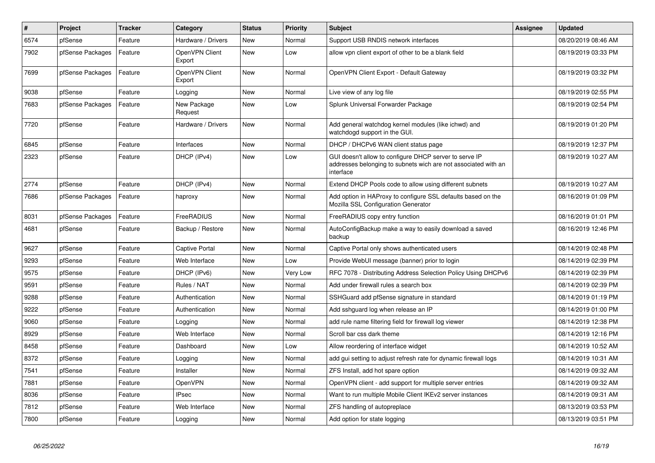| $\pmb{\#}$ | Project          | <b>Tracker</b> | Category                 | <b>Status</b> | <b>Priority</b> | <b>Subject</b>                                                                                                                        | <b>Assignee</b> | <b>Updated</b>      |
|------------|------------------|----------------|--------------------------|---------------|-----------------|---------------------------------------------------------------------------------------------------------------------------------------|-----------------|---------------------|
| 6574       | pfSense          | Feature        | Hardware / Drivers       | <b>New</b>    | Normal          | Support USB RNDIS network interfaces                                                                                                  |                 | 08/20/2019 08:46 AM |
| 7902       | pfSense Packages | Feature        | OpenVPN Client<br>Export | <b>New</b>    | Low             | allow vpn client export of other to be a blank field                                                                                  |                 | 08/19/2019 03:33 PM |
| 7699       | pfSense Packages | Feature        | OpenVPN Client<br>Export | <b>New</b>    | Normal          | OpenVPN Client Export - Default Gateway                                                                                               |                 | 08/19/2019 03:32 PM |
| 9038       | pfSense          | Feature        | Logging                  | <b>New</b>    | Normal          | Live view of any log file                                                                                                             |                 | 08/19/2019 02:55 PM |
| 7683       | pfSense Packages | Feature        | New Package<br>Request   | <b>New</b>    | Low             | Splunk Universal Forwarder Package                                                                                                    |                 | 08/19/2019 02:54 PM |
| 7720       | pfSense          | Feature        | Hardware / Drivers       | <b>New</b>    | Normal          | Add general watchdog kernel modules (like ichwd) and<br>watchdogd support in the GUI.                                                 |                 | 08/19/2019 01:20 PM |
| 6845       | pfSense          | Feature        | Interfaces               | <b>New</b>    | Normal          | DHCP / DHCPv6 WAN client status page                                                                                                  |                 | 08/19/2019 12:37 PM |
| 2323       | pfSense          | Feature        | DHCP (IPv4)              | <b>New</b>    | Low             | GUI doesn't allow to configure DHCP server to serve IP<br>addresses belonging to subnets wich are not associated with an<br>interface |                 | 08/19/2019 10:27 AM |
| 2774       | pfSense          | Feature        | DHCP (IPv4)              | <b>New</b>    | Normal          | Extend DHCP Pools code to allow using different subnets                                                                               |                 | 08/19/2019 10:27 AM |
| 7686       | pfSense Packages | Feature        | haproxy                  | <b>New</b>    | Normal          | Add option in HAProxy to configure SSL defaults based on the<br>Mozilla SSL Configuration Generator                                   |                 | 08/16/2019 01:09 PM |
| 8031       | pfSense Packages | Feature        | FreeRADIUS               | <b>New</b>    | Normal          | FreeRADIUS copy entry function                                                                                                        |                 | 08/16/2019 01:01 PM |
| 4681       | pfSense          | Feature        | Backup / Restore         | <b>New</b>    | Normal          | AutoConfigBackup make a way to easily download a saved<br>backup                                                                      |                 | 08/16/2019 12:46 PM |
| 9627       | pfSense          | Feature        | Captive Portal           | <b>New</b>    | Normal          | Captive Portal only shows authenticated users                                                                                         |                 | 08/14/2019 02:48 PM |
| 9293       | pfSense          | Feature        | Web Interface            | <b>New</b>    | Low             | Provide WebUI message (banner) prior to login                                                                                         |                 | 08/14/2019 02:39 PM |
| 9575       | pfSense          | Feature        | DHCP (IPv6)              | New           | Very Low        | RFC 7078 - Distributing Address Selection Policy Using DHCPv6                                                                         |                 | 08/14/2019 02:39 PM |
| 9591       | pfSense          | Feature        | Rules / NAT              | <b>New</b>    | Normal          | Add under firewall rules a search box                                                                                                 |                 | 08/14/2019 02:39 PM |
| 9288       | pfSense          | Feature        | Authentication           | <b>New</b>    | Normal          | SSHGuard add pfSense signature in standard                                                                                            |                 | 08/14/2019 01:19 PM |
| 9222       | pfSense          | Feature        | Authentication           | <b>New</b>    | Normal          | Add sshguard log when release an IP                                                                                                   |                 | 08/14/2019 01:00 PM |
| 9060       | pfSense          | Feature        | Logging                  | <b>New</b>    | Normal          | add rule name filtering field for firewall log viewer                                                                                 |                 | 08/14/2019 12:38 PM |
| 8929       | pfSense          | Feature        | Web Interface            | <b>New</b>    | Normal          | Scroll bar css dark theme                                                                                                             |                 | 08/14/2019 12:16 PM |
| 8458       | pfSense          | Feature        | Dashboard                | <b>New</b>    | Low             | Allow reordering of interface widget                                                                                                  |                 | 08/14/2019 10:52 AM |
| 8372       | pfSense          | Feature        | Logging                  | <b>New</b>    | Normal          | add gui setting to adjust refresh rate for dynamic firewall logs                                                                      |                 | 08/14/2019 10:31 AM |
| 7541       | pfSense          | Feature        | Installer                | <b>New</b>    | Normal          | ZFS Install, add hot spare option                                                                                                     |                 | 08/14/2019 09:32 AM |
| 7881       | pfSense          | Feature        | <b>OpenVPN</b>           | <b>New</b>    | Normal          | OpenVPN client - add support for multiple server entries                                                                              |                 | 08/14/2019 09:32 AM |
| 8036       | pfSense          | Feature        | <b>IPsec</b>             | New           | Normal          | Want to run multiple Mobile Client IKEv2 server instances                                                                             |                 | 08/14/2019 09:31 AM |
| 7812       | pfSense          | Feature        | Web Interface            | New           | Normal          | ZFS handling of autopreplace                                                                                                          |                 | 08/13/2019 03:53 PM |
| 7800       | pfSense          | Feature        | Logging                  | New           | Normal          | Add option for state logging                                                                                                          |                 | 08/13/2019 03:51 PM |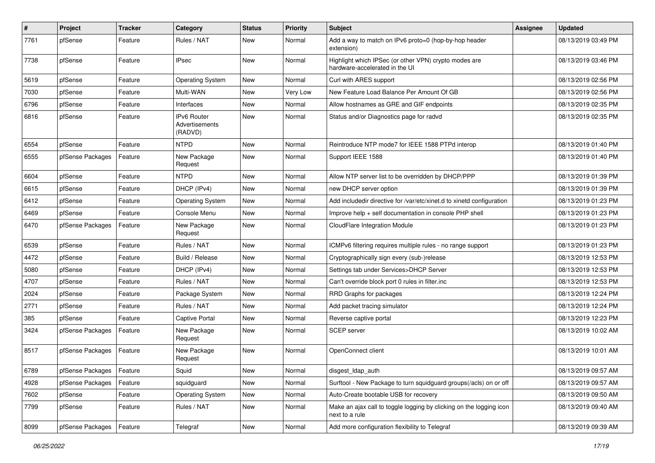| #    | Project          | <b>Tracker</b> | Category                                 | <b>Status</b> | <b>Priority</b> | <b>Subject</b>                                                                          | <b>Assignee</b> | <b>Updated</b>      |
|------|------------------|----------------|------------------------------------------|---------------|-----------------|-----------------------------------------------------------------------------------------|-----------------|---------------------|
| 7761 | pfSense          | Feature        | Rules / NAT                              | New           | Normal          | Add a way to match on IPv6 proto=0 (hop-by-hop header<br>extension)                     |                 | 08/13/2019 03:49 PM |
| 7738 | pfSense          | Feature        | <b>IPsec</b>                             | New           | Normal          | Highlight which IPSec (or other VPN) crypto modes are<br>hardware-accelerated in the UI |                 | 08/13/2019 03:46 PM |
| 5619 | pfSense          | Feature        | <b>Operating System</b>                  | New           | Normal          | Curl with ARES support                                                                  |                 | 08/13/2019 02:56 PM |
| 7030 | pfSense          | Feature        | Multi-WAN                                | New           | Very Low        | New Feature Load Balance Per Amount Of GB                                               |                 | 08/13/2019 02:56 PM |
| 6796 | pfSense          | Feature        | Interfaces                               | New           | Normal          | Allow hostnames as GRE and GIF endpoints                                                |                 | 08/13/2019 02:35 PM |
| 6816 | pfSense          | Feature        | IPv6 Router<br>Advertisements<br>(RADVD) | New           | Normal          | Status and/or Diagnostics page for radvd                                                |                 | 08/13/2019 02:35 PM |
| 6554 | pfSense          | Feature        | <b>NTPD</b>                              | New           | Normal          | Reintroduce NTP mode7 for IEEE 1588 PTPd interop                                        |                 | 08/13/2019 01:40 PM |
| 6555 | pfSense Packages | Feature        | New Package<br>Request                   | New           | Normal          | Support IEEE 1588                                                                       |                 | 08/13/2019 01:40 PM |
| 6604 | pfSense          | Feature        | <b>NTPD</b>                              | New           | Normal          | Allow NTP server list to be overridden by DHCP/PPP                                      |                 | 08/13/2019 01:39 PM |
| 6615 | pfSense          | Feature        | DHCP (IPv4)                              | New           | Normal          | new DHCP server option                                                                  |                 | 08/13/2019 01:39 PM |
| 6412 | pfSense          | Feature        | <b>Operating System</b>                  | New           | Normal          | Add includedir directive for /var/etc/xinet.d to xinetd configuration                   |                 | 08/13/2019 01:23 PM |
| 6469 | pfSense          | Feature        | Console Menu                             | New           | Normal          | Improve help + self documentation in console PHP shell                                  |                 | 08/13/2019 01:23 PM |
| 6470 | pfSense Packages | Feature        | New Package<br>Request                   | New           | Normal          | CloudFlare Integration Module                                                           |                 | 08/13/2019 01:23 PM |
| 6539 | pfSense          | Feature        | Rules / NAT                              | New           | Normal          | ICMPv6 filtering requires multiple rules - no range support                             |                 | 08/13/2019 01:23 PM |
| 4472 | pfSense          | Feature        | Build / Release                          | New           | Normal          | Cryptographically sign every (sub-)release                                              |                 | 08/13/2019 12:53 PM |
| 5080 | pfSense          | Feature        | DHCP (IPv4)                              | New           | Normal          | Settings tab under Services>DHCP Server                                                 |                 | 08/13/2019 12:53 PM |
| 4707 | pfSense          | Feature        | Rules / NAT                              | New           | Normal          | Can't override block port 0 rules in filter.inc                                         |                 | 08/13/2019 12:53 PM |
| 2024 | pfSense          | Feature        | Package System                           | New           | Normal          | RRD Graphs for packages                                                                 |                 | 08/13/2019 12:24 PM |
| 2771 | pfSense          | Feature        | Rules / NAT                              | New           | Normal          | Add packet tracing simulator                                                            |                 | 08/13/2019 12:24 PM |
| 385  | pfSense          | Feature        | <b>Captive Portal</b>                    | New           | Normal          | Reverse captive portal                                                                  |                 | 08/13/2019 12:23 PM |
| 3424 | pfSense Packages | Feature        | New Package<br>Request                   | New           | Normal          | <b>SCEP</b> server                                                                      |                 | 08/13/2019 10:02 AM |
| 8517 | pfSense Packages | Feature        | New Package<br>Request                   | <b>New</b>    | Normal          | OpenConnect client                                                                      |                 | 08/13/2019 10:01 AM |
| 6789 | pfSense Packages | Feature        | Squid                                    | New           | Normal          | disgest_ldap_auth                                                                       |                 | 08/13/2019 09:57 AM |
| 4928 | pfSense Packages | Feature        | squidguard                               | New           | Normal          | Surftool - New Package to turn squidguard groups(/acls) on or off                       |                 | 08/13/2019 09:57 AM |
| 7602 | pfSense          | Feature        | <b>Operating System</b>                  | New           | Normal          | Auto-Create bootable USB for recovery                                                   |                 | 08/13/2019 09:50 AM |
| 7799 | pfSense          | Feature        | Rules / NAT                              | New           | Normal          | Make an ajax call to toggle logging by clicking on the logging icon<br>next to a rule   |                 | 08/13/2019 09:40 AM |
| 8099 | pfSense Packages | Feature        | Telegraf                                 | New           | Normal          | Add more configuration flexibility to Telegraf                                          |                 | 08/13/2019 09:39 AM |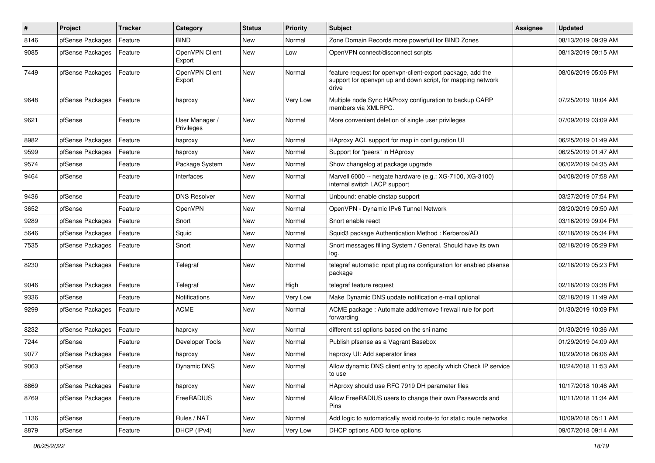| #    | Project          | <b>Tracker</b> | Category                     | <b>Status</b> | <b>Priority</b> | Subject                                                                                                                            | <b>Assignee</b> | <b>Updated</b>      |
|------|------------------|----------------|------------------------------|---------------|-----------------|------------------------------------------------------------------------------------------------------------------------------------|-----------------|---------------------|
| 8146 | pfSense Packages | Feature        | <b>BIND</b>                  | New           | Normal          | Zone Domain Records more powerfull for BIND Zones                                                                                  |                 | 08/13/2019 09:39 AM |
| 9085 | pfSense Packages | Feature        | OpenVPN Client<br>Export     | New           | Low             | OpenVPN connect/disconnect scripts                                                                                                 |                 | 08/13/2019 09:15 AM |
| 7449 | pfSense Packages | Feature        | OpenVPN Client<br>Export     | New           | Normal          | feature request for openvpn-client-export package, add the<br>support for openvpn up and down script, for mapping network<br>drive |                 | 08/06/2019 05:06 PM |
| 9648 | pfSense Packages | Feature        | haproxy                      | New           | Very Low        | Multiple node Sync HAProxy configuration to backup CARP<br>members via XMLRPC.                                                     |                 | 07/25/2019 10:04 AM |
| 9621 | pfSense          | Feature        | User Manager /<br>Privileges | New           | Normal          | More convenient deletion of single user privileges                                                                                 |                 | 07/09/2019 03:09 AM |
| 8982 | pfSense Packages | Feature        | haproxy                      | New           | Normal          | HAproxy ACL support for map in configuration UI                                                                                    |                 | 06/25/2019 01:49 AM |
| 9599 | pfSense Packages | Feature        | haproxy                      | New           | Normal          | Support for "peers" in HAproxy                                                                                                     |                 | 06/25/2019 01:47 AM |
| 9574 | pfSense          | Feature        | Package System               | New           | Normal          | Show changelog at package upgrade                                                                                                  |                 | 06/02/2019 04:35 AM |
| 9464 | pfSense          | Feature        | Interfaces                   | New           | Normal          | Marvell 6000 -- netgate hardware (e.g.: XG-7100, XG-3100)<br>internal switch LACP support                                          |                 | 04/08/2019 07:58 AM |
| 9436 | pfSense          | Feature        | <b>DNS Resolver</b>          | New           | Normal          | Unbound: enable dnstap support                                                                                                     |                 | 03/27/2019 07:54 PM |
| 3652 | pfSense          | Feature        | OpenVPN                      | New           | Normal          | OpenVPN - Dynamic IPv6 Tunnel Network                                                                                              |                 | 03/20/2019 09:50 AM |
| 9289 | pfSense Packages | Feature        | Snort                        | New           | Normal          | Snort enable react                                                                                                                 |                 | 03/16/2019 09:04 PM |
| 5646 | pfSense Packages | Feature        | Squid                        | New           | Normal          | Squid3 package Authentication Method: Kerberos/AD                                                                                  |                 | 02/18/2019 05:34 PM |
| 7535 | pfSense Packages | Feature        | Snort                        | New           | Normal          | Snort messages filling System / General. Should have its own<br>log.                                                               |                 | 02/18/2019 05:29 PM |
| 8230 | pfSense Packages | Feature        | Telegraf                     | New           | Normal          | telegraf automatic input plugins configuration for enabled pfsense<br>package                                                      |                 | 02/18/2019 05:23 PM |
| 9046 | pfSense Packages | Feature        | Telegraf                     | <b>New</b>    | High            | telegraf feature request                                                                                                           |                 | 02/18/2019 03:38 PM |
| 9336 | pfSense          | Feature        | Notifications                | New           | Very Low        | Make Dynamic DNS update notification e-mail optional                                                                               |                 | 02/18/2019 11:49 AM |
| 9299 | pfSense Packages | Feature        | <b>ACME</b>                  | New           | Normal          | ACME package: Automate add/remove firewall rule for port<br>forwarding                                                             |                 | 01/30/2019 10:09 PM |
| 8232 | pfSense Packages | Feature        | haproxy                      | New           | Normal          | different ssl options based on the sni name                                                                                        |                 | 01/30/2019 10:36 AM |
| 7244 | pfSense          | Feature        | Developer Tools              | New           | Normal          | Publish pfsense as a Vagrant Basebox                                                                                               |                 | 01/29/2019 04:09 AM |
| 9077 | pfSense Packages | Feature        | haproxy                      | New           | Normal          | haproxy UI: Add seperator lines                                                                                                    |                 | 10/29/2018 06:06 AM |
| 9063 | pfSense          | Feature        | Dynamic DNS                  | New           | Normal          | Allow dynamic DNS client entry to specify which Check IP service<br>to use                                                         |                 | 10/24/2018 11:53 AM |
| 8869 | pfSense Packages | Feature        | haproxy                      | New           | Normal          | HAproxy should use RFC 7919 DH parameter files                                                                                     |                 | 10/17/2018 10:46 AM |
| 8769 | pfSense Packages | Feature        | FreeRADIUS                   | New           | Normal          | Allow FreeRADIUS users to change their own Passwords and<br>Pins                                                                   |                 | 10/11/2018 11:34 AM |
| 1136 | pfSense          | Feature        | Rules / NAT                  | New           | Normal          | Add logic to automatically avoid route-to for static route networks                                                                |                 | 10/09/2018 05:11 AM |
| 8879 | pfSense          | Feature        | DHCP (IPv4)                  | New           | Very Low        | DHCP options ADD force options                                                                                                     |                 | 09/07/2018 09:14 AM |